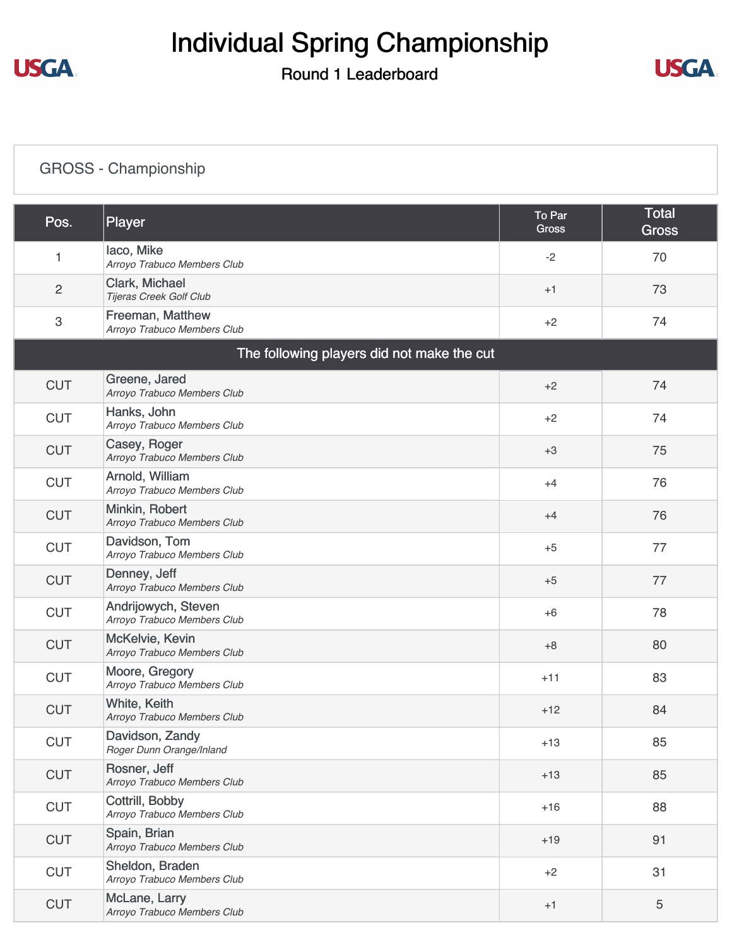# Individual Spring Championship

#### Round 1 Leaderboard



#### [GROSS - Championship](https://static.golfgenius.com/v2tournaments/8517820053406638150?called_from=&round_index=1)

| Pos.       | Player                                             | To Par<br><b>Gross</b> | <b>Total</b><br><b>Gross</b> |
|------------|----------------------------------------------------|------------------------|------------------------------|
| 1          | laco, Mike<br>Arroyo Trabuco Members Club          | $-2$                   | 70                           |
| $\sqrt{2}$ | Clark, Michael<br>Tijeras Creek Golf Club          | $+1$                   | 73                           |
| 3          | Freeman, Matthew<br>Arroyo Trabuco Members Club    | $+2$                   | 74                           |
|            | The following players did not make the cut         |                        |                              |
| <b>CUT</b> | Greene, Jared<br>Arroyo Trabuco Members Club       | $+2$                   | 74                           |
| <b>CUT</b> | Hanks, John<br>Arroyo Trabuco Members Club         | $+2$                   | 74                           |
| <b>CUT</b> | Casey, Roger<br>Arroyo Trabuco Members Club        | $+3$                   | 75                           |
| <b>CUT</b> | Arnold, William<br>Arroyo Trabuco Members Club     | $+4$                   | 76                           |
| <b>CUT</b> | Minkin, Robert<br>Arroyo Trabuco Members Club      | $+4$                   | 76                           |
| <b>CUT</b> | Davidson, Tom<br>Arroyo Trabuco Members Club       | $+5$                   | 77                           |
| <b>CUT</b> | Denney, Jeff<br>Arroyo Trabuco Members Club        | $+5$                   | 77                           |
| <b>CUT</b> | Andrijowych, Steven<br>Arroyo Trabuco Members Club | $+6$                   | 78                           |
| <b>CUT</b> | McKelvie, Kevin<br>Arroyo Trabuco Members Club     | $+8$                   | 80                           |
| <b>CUT</b> | Moore, Gregory<br>Arroyo Trabuco Members Club      | $+11$                  | 83                           |
| <b>CUT</b> | White, Keith<br>Arroyo Trabuco Members Club        | $+12$                  | 84                           |
| <b>CUT</b> | Davidson, Zandy<br>Roger Dunn Orange/Inland        | $+13$                  | 85                           |
| <b>CUT</b> | Rosner, Jeff<br>Arroyo Trabuco Members Club        | $+13$                  | 85                           |
| <b>CUT</b> | Cottrill, Bobby<br>Arroyo Trabuco Members Club     | $+16$                  | 88                           |
| <b>CUT</b> | Spain, Brian<br>Arroyo Trabuco Members Club        | $+19$                  | 91                           |
| <b>CUT</b> | Sheldon, Braden<br>Arroyo Trabuco Members Club     | $+2$                   | 31                           |
| <b>CUT</b> | McLane, Larry<br>Arroyo Trabuco Members Club       | $+1$                   | $\overline{5}$               |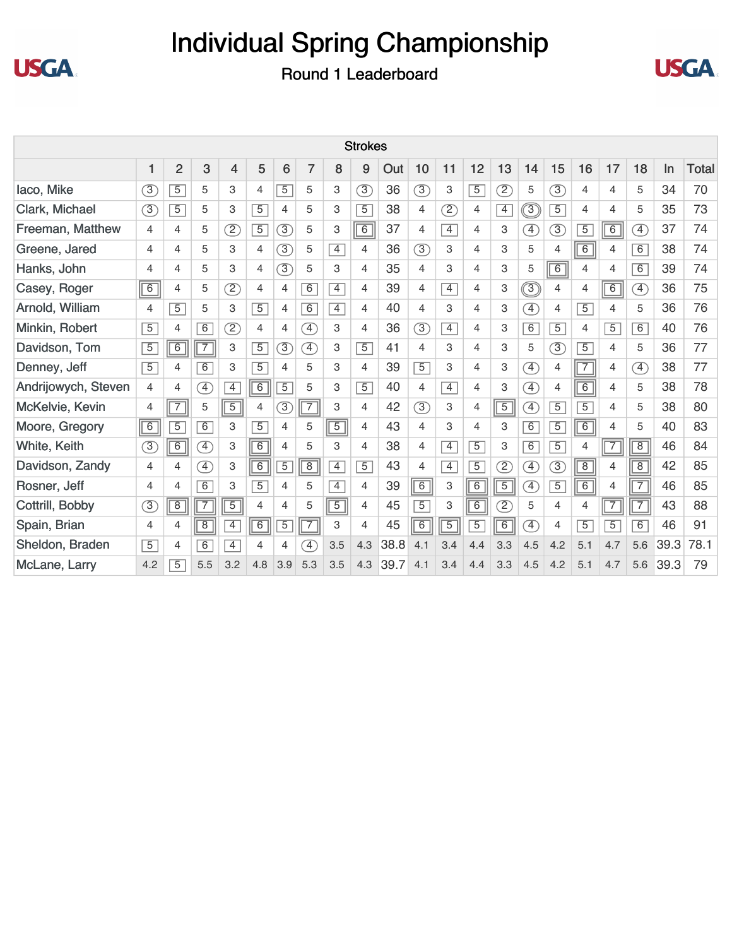



|                     |                |                |                              |                |                |                |                              |                | <b>Strokes</b> |      |                |                |                |                          |                              |                |                      |                |                              |      |              |
|---------------------|----------------|----------------|------------------------------|----------------|----------------|----------------|------------------------------|----------------|----------------|------|----------------|----------------|----------------|--------------------------|------------------------------|----------------|----------------------|----------------|------------------------------|------|--------------|
|                     |                | $\overline{2}$ | 3                            | 4              | 5              | 6              | 7                            | 8              | 9              | Out  | 10             | 11             | 12             | 13                       | 14                           | 15             | 16                   | 17             | 18                           | In   | <b>Total</b> |
| laco, Mike          | 3              | $\overline{5}$ | 5                            | 3              | $\overline{4}$ | $\overline{5}$ | 5                            | 3              | 3              | 36   | $\circled{3}$  | 3              | $\overline{5}$ | $\overline{\mathcal{Z}}$ | 5                            | 3              | 4                    | 4              | 5                            | 34   | 70           |
| Clark, Michael      | $\circled{3}$  | $\overline{5}$ | 5                            | 3              | $\overline{5}$ | 4              | 5                            | 3              | $\overline{5}$ | 38   | 4              | Z              | $\overline{4}$ | $\overline{4}$           | $\circledS$                  | $\overline{5}$ | 4                    | 4              | 5                            | 35   | 73           |
| Freeman, Matthew    | 4              | $\overline{4}$ | 5                            | $\circled{2}$  | $\overline{5}$ | $\circled{3}$  | 5                            | 3              | $\overline{6}$ | 37   | 4              | $\overline{4}$ | $\overline{4}$ | 3                        | F)                           | $\circled{3}$  | $\overline{5}$       | 6              | $\circledA$                  | 37   | 74           |
| Greene, Jared       | 4              | 4              | 5                            | 3              | $\overline{4}$ | $\circled{3}$  | 5                            | $\overline{4}$ | 4              | 36   | $\circled{3}$  | 3              | 4              | 3                        | 5                            | 4              | $\sqrt{6}$           | 4              | 6                            | 38   | 74           |
| Hanks, John         | 4              | 4              | 5                            | 3              | $\overline{4}$ | $\circled{3}$  | 5                            | 3              | 4              | 35   | $\overline{4}$ | 3              | 4              | 3                        | 5                            | $\sqrt{6}$     | 4                    | 4              | 6                            | 39   | 74           |
| Casey, Roger        | 6              | 4              | 5                            | (2)            | $\overline{4}$ | 4              | 6                            | $\overline{4}$ | 4              | 39   | 4              | $\overline{4}$ | 4              | 3                        | $\circledS$                  | 4              | 4                    | $\overline{6}$ | $\left( \overline{4}\right)$ | 36   | 75           |
| Arnold, William     | 4              | $\overline{5}$ | 5                            | 3              | $\overline{5}$ | 4              | 6                            | $\overline{4}$ | 4              | 40   | 4              | 3              | 4              | 3                        | $\left( \overline{4}\right)$ | 4              | $\overline{5}$       | 4              | 5                            | 36   | 76           |
| Minkin, Robert      | $\overline{5}$ | $\overline{4}$ | 6                            | $\mathcal{D}$  | 4              | 4              | ④                            | 3              | 4              | 36   | $\circled{3}$  | $\overline{4}$ | $\overline{4}$ | 3                        | $\overline{6}$               | $\overline{5}$ | 4                    | $\overline{5}$ | 6                            | 40   | 76           |
| Davidson, Tom       | $\overline{5}$ | 6              | $\overline{Z}$               | 3              | $\overline{5}$ | 3              | $\left( \overline{4}\right)$ | 3              | $\overline{5}$ | 41   | 4              | 3              | 4              | 3                        | 5                            | $\circled{3}$  | $\overline{5}$       | 4              | 5                            | 36   | 77           |
| Denney, Jeff        | $\overline{5}$ | $\overline{4}$ | 6                            | 3              | $\overline{5}$ | 4              | 5                            | 3              | $\overline{4}$ | 39   | $\overline{5}$ | 3              | 4              | 3                        | $\left( \overline{4}\right)$ | $\overline{4}$ | $\sqrt{7}$           | $\overline{4}$ | $\circledA$                  | 38   | 77           |
| Andrijowych, Steven | $\overline{4}$ | $\overline{4}$ | Œ                            | $\overline{4}$ | $\overline{6}$ | $\overline{5}$ | 5                            | 3              | $\overline{5}$ | 40   | $\overline{4}$ | $\overline{4}$ | $\overline{4}$ | 3                        | $\left( \overline{4}\right)$ | 4              | $\sqrt{6}$           | 4              | 5                            | 38   | 78           |
| McKelvie, Kevin     | 4              | $\sqrt{7}$     | 5                            | $\overline{5}$ | $\overline{4}$ | 3              | $\overline{7}$               | 3              | $\overline{4}$ | 42   | 3              | 3              | 4              | $\frac{1}{\sqrt{5}}$     | $\left( \overline{4}\right)$ | $\overline{5}$ | $\overline{5}$       | 4              | 5                            | 38   | 80           |
| Moore, Gregory      | 6              | $\overline{5}$ | $\overline{6}$               | 3              | $\overline{5}$ | 4              | 5                            | $\boxed{5}$    | 4              | 43   | 4              | 3              | 4              | 3                        | 6                            | $\overline{5}$ | $\boxed{6}$          | 4              | 5                            | 40   | 83           |
| White, Keith        | $\circled{3}$  | 6              | <sup>4</sup>                 | 3              | $\overline{6}$ | $\overline{4}$ | 5                            | 3              | 4              | 38   | $\overline{4}$ | $\overline{4}$ | $\overline{5}$ | 3                        | 6                            | $\overline{5}$ | 4                    | $\boxed{7}$    | $\overline{8}$               | 46   | 84           |
| Davidson, Zandy     | 4              | 4              | $\left( \overline{4}\right)$ | 3              | $\overline{6}$ | $\overline{5}$ | $\overline{8}$               | $\overline{4}$ | $\overline{5}$ | 43   | 4              | $\overline{4}$ | $\overline{5}$ | $\left( 2\right)$        | $\left( \overline{4}\right)$ | $\circled{3}$  | $\sqrt{8}$           | 4              | 8                            | 42   | 85           |
| Rosner, Jeff        | 4              | $\overline{4}$ | 6                            | 3              | $\overline{5}$ | 4              | 5                            | $\overline{4}$ | 4              | 39   | $\overline{6}$ | 3              | $\overline{6}$ | $\boxed{5}$              | $\boxed{4}$                  | $\overline{5}$ | $\frac{1}{\sqrt{6}}$ | 4              | $\overline{7}$               | 46   | 85           |
| Cottrill, Bobby     | $\circled{3}$  | $\overline{8}$ | $\overline{7}$               | $\overline{5}$ | $\overline{4}$ | 4              | 5                            | $\overline{5}$ | $\overline{4}$ | 45   | $\overline{5}$ | 3              | $\overline{6}$ | $\left( 2\right)$        | 5                            | 4              | 4                    | $\boxed{7}$    | $\boxed{7}$                  | 43   | 88           |
| Spain, Brian        | 4              | 4              | $\overline{8}$               | $\overline{4}$ | $\overline{6}$ | $\overline{5}$ | $\overline{7}$               | 3              | 4              | 45   | $\overline{6}$ | $\overline{5}$ | $\overline{5}$ | $\overline{6}$           | $\boxed{4}$                  | 4              | $\overline{5}$       | $\overline{5}$ | $\overline{6}$               | 46   | 91           |
| Sheldon, Braden     | $\overline{5}$ | $\overline{4}$ | $\overline{6}$               | $\overline{4}$ | $\overline{4}$ | 4              | F)                           | 3.5            | 4.3            | 38.8 | 4.1            | 3.4            | 4.4            | 3.3                      | 4.5                          | 4.2            | 5.1                  | 4.7            | 5.6                          | 39.3 | 78.1         |
| McLane, Larry       | 4.2            | $\overline{5}$ | 5.5                          | 3.2            | 4.8            | 3.9            | 5.3                          | 3.5            | 4.3            | 39.7 | 4.1            | 3.4            | 4.4            | 3.3                      | 4.5                          | 4.2            | 5.1                  | 4.7            | 5.6                          | 39.3 | 79           |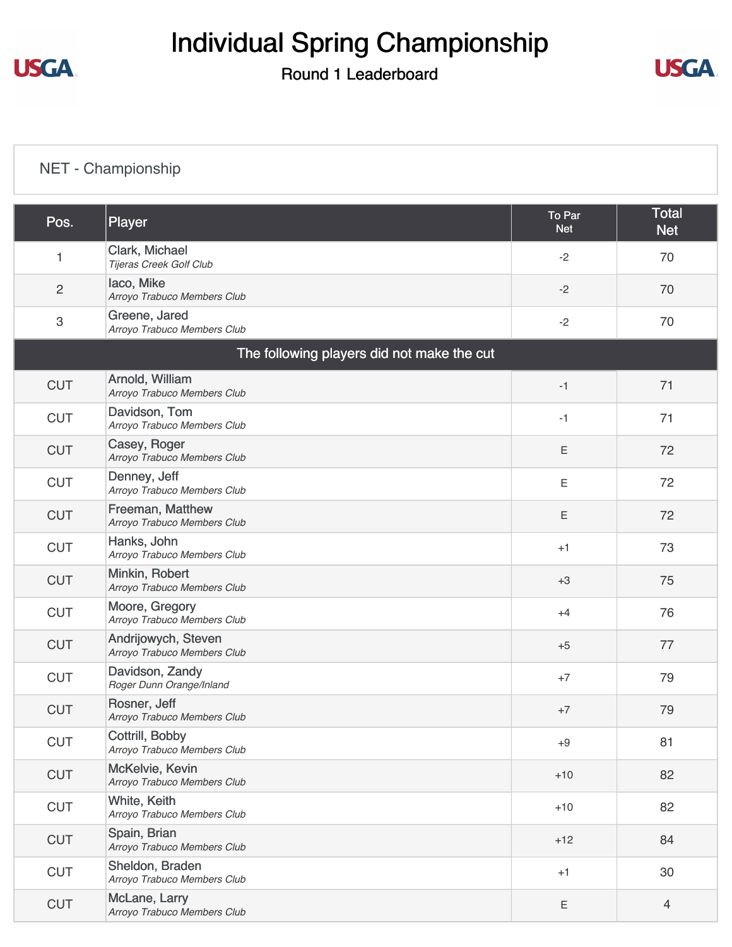# Individual Spring Championship

#### Round 1 Leaderboard



### [NET - Championship](https://static.golfgenius.com/v2tournaments/8517823638529925191?called_from=&round_index=1)

| Pos.           | Player                                             | To Par<br><b>Net</b> | <b>Total</b><br><b>Net</b> |
|----------------|----------------------------------------------------|----------------------|----------------------------|
| 1              | Clark, Michael<br>Tijeras Creek Golf Club          | $-2$                 | 70                         |
| $\overline{2}$ | laco, Mike<br>Arroyo Trabuco Members Club          | $-2$                 | 70                         |
| 3              | Greene, Jared<br>Arroyo Trabuco Members Club       | $-2$                 | 70                         |
|                | The following players did not make the cut         |                      |                            |
| <b>CUT</b>     | Arnold, William<br>Arroyo Trabuco Members Club     | $-1$                 | 71                         |
| <b>CUT</b>     | Davidson, Tom<br>Arroyo Trabuco Members Club       | $-1$                 | 71                         |
| <b>CUT</b>     | Casey, Roger<br>Arroyo Trabuco Members Club        | $\mathsf E$          | 72                         |
| <b>CUT</b>     | Denney, Jeff<br>Arroyo Trabuco Members Club        | Ε                    | 72                         |
| <b>CUT</b>     | Freeman, Matthew<br>Arroyo Trabuco Members Club    | $\mathsf E$          | 72                         |
| <b>CUT</b>     | Hanks, John<br>Arroyo Trabuco Members Club         | $+1$                 | 73                         |
| <b>CUT</b>     | Minkin, Robert<br>Arroyo Trabuco Members Club      | $+3$                 | 75                         |
| <b>CUT</b>     | Moore, Gregory<br>Arroyo Trabuco Members Club      | $+4$                 | 76                         |
| <b>CUT</b>     | Andrijowych, Steven<br>Arroyo Trabuco Members Club | $+5$                 | 77                         |
| <b>CUT</b>     | Davidson, Zandy<br>Roger Dunn Orange/Inland        | $+7$                 | 79                         |
| <b>CUT</b>     | Rosner, Jeff<br>Arroyo Trabuco Members Club        | $+7$                 | 79                         |
| <b>CUT</b>     | Cottrill, Bobby<br>Arroyo Trabuco Members Club     | $+9$                 | 81                         |
| <b>CUT</b>     | McKelvie, Kevin<br>Arroyo Trabuco Members Club     | $+10$                | 82                         |
| <b>CUT</b>     | White, Keith<br>Arroyo Trabuco Members Club        | $+10$                | 82                         |
| <b>CUT</b>     | Spain, Brian<br>Arroyo Trabuco Members Club        | $+12$                | 84                         |
| <b>CUT</b>     | Sheldon, Braden<br>Arroyo Trabuco Members Club     | $+1$                 | 30                         |
| <b>CUT</b>     | McLane, Larry<br>Arroyo Trabuco Members Club       | Ε                    | $\overline{4}$             |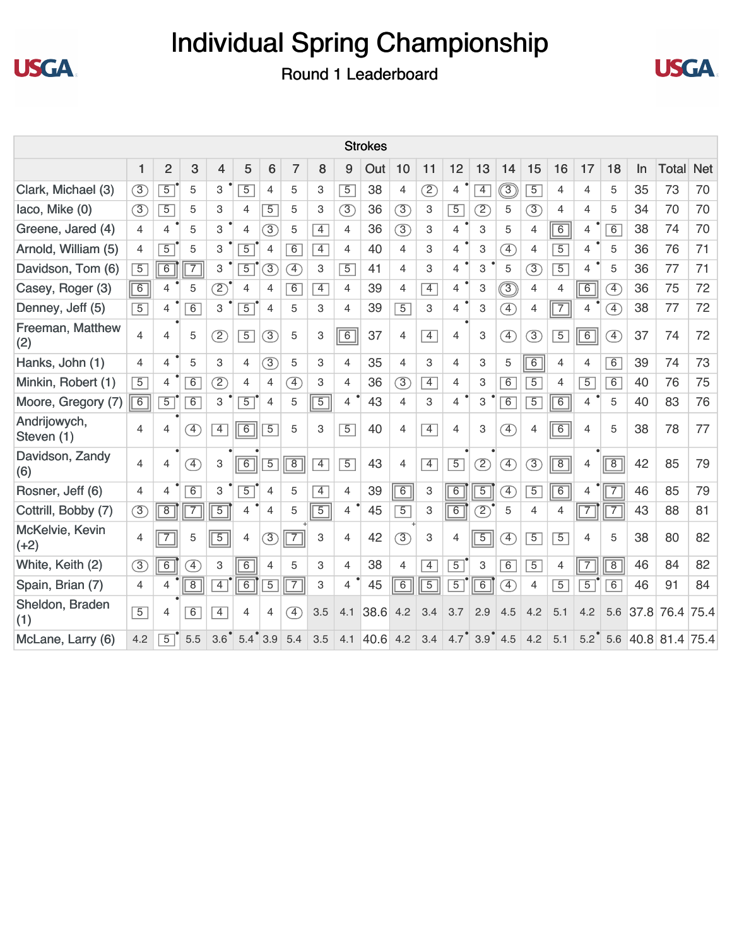



|                            |                  |                |                              |                  |                |                     |                              |                |                | <b>Strokes</b> |                |                |                                       |                |                              |                |                |                |                              |           |                |            |
|----------------------------|------------------|----------------|------------------------------|------------------|----------------|---------------------|------------------------------|----------------|----------------|----------------|----------------|----------------|---------------------------------------|----------------|------------------------------|----------------|----------------|----------------|------------------------------|-----------|----------------|------------|
|                            | 1                | $\overline{2}$ | 3                            | $\overline{4}$   | 5              | 6                   | 7                            | 8              | 9              | Out            | 10             | 11             | 12                                    | 13             | 14                           | 15             | 16             | 17             | 18                           | <b>In</b> | <b>Total</b>   | <b>Net</b> |
| Clark, Michael (3)         | $\circled{3}$    | $\overline{5}$ | 5                            | 3                | $\overline{5}$ | 4                   | 5                            | 3              | $\overline{5}$ | 38             | 4              | (2)            | $\overline{4}$                        | $\overline{4}$ | $\circledS$                  | $\overline{5}$ | 4              | 4              | 5                            | 35        | 73             | 70         |
| laco, Mike (0)             | $\circled{3}$    | $\overline{5}$ | 5                            | 3                | 4              | $\overline{5}$      | 5                            | 3              | $\circled{3}$  | 36             | $\circled{3}$  | 3              | $\overline{5}$                        | Z              | 5                            | $\circled{3}$  | $\overline{4}$ | $\overline{4}$ | 5                            | 34        | 70             | 70         |
| Greene, Jared (4)          | $\overline{4}$   | $\overline{4}$ | 5                            | 3                | 4              | $\circled{3}$       | 5                            | $\overline{4}$ | $\overline{4}$ | 36             | $\circled{3}$  | 3              | 4                                     | 3              | 5                            | 4              | $\overline{6}$ | 4              | 6                            | 38        | 74             | 70         |
| Arnold, William (5)        | $\overline{4}$   | $\overline{5}$ | 5                            | 3                | $\overline{5}$ | 4                   | $\overline{6}$               | $\overline{4}$ | 4              | 40             | $\overline{4}$ | 3              | 4                                     | 3              | $\left( \overline{4}\right)$ | 4              | $\overline{5}$ | $\overline{4}$ | 5                            | 36        | 76             | 71         |
| Davidson, Tom (6)          | $\overline{5}$   | $\overline{6}$ | $\overline{7}$               | 3                | $\overline{5}$ | $\circled{3}$       | $\left( \overline{4}\right)$ | 3              | $\overline{5}$ | 41             | $\overline{4}$ | 3              | $\overline{4}$                        | 3              | 5                            | $\circled{3}$  | $\overline{5}$ | 4              | 5                            | 36        | 77             | 71         |
| Casey, Roger (3)           | $\boxed{6}$      | $\overline{4}$ | 5                            | $\overline{2}$   | 4              | 4                   | $\overline{6}$               | $\overline{4}$ | 4              | 39             | $\overline{4}$ | $\overline{4}$ | $\overline{4}$                        | 3              | $\circledS$                  | 4              | $\overline{4}$ | $\overline{6}$ | $\left( \overline{4}\right)$ | 36        | 75             | 72         |
| Denney, Jeff (5)           | $\overline{5}$   | $\overline{4}$ | $\overline{6}$               | 3                | $\overline{5}$ | $\overline{4}$      | 5                            | 3              | 4              | 39             | $\overline{5}$ | 3              | $\overline{4}$                        | 3              | $\left( \overline{4}\right)$ | 4              | $\sqrt{7}$     | 4              | $\left( \overline{4}\right)$ | 38        | 77             | 72         |
| Freeman, Matthew<br>(2)    | $\overline{4}$   | $\overline{4}$ | 5                            | $\overline{2}$   | $\overline{5}$ | $\circled{3}$       | 5                            | 3              | $\overline{6}$ | 37             | $\overline{4}$ | $\overline{4}$ | $\overline{4}$                        | 3              | $\left( \overline{4}\right)$ | $\overline{3}$ | $\overline{5}$ | $\overline{6}$ | $\boxed{4}$                  | 37        | 74             | 72         |
| Hanks, John (1)            | $\overline{4}$   | $\overline{4}$ | 5                            | 3                | 4              | $\circled{3}$       | 5                            | 3              | $\overline{4}$ | 35             | $\overline{4}$ | 3              | 4                                     | 3              | 5                            | $\overline{6}$ | $\overline{4}$ | 4              | 6                            | 39        | 74             | 73         |
| Minkin, Robert (1)         | $\overline{5}$   | $\overline{4}$ | $\overline{6}$               | $\overline{2}$   | 4              | $\overline{4}$      | $\left( \overline{4}\right)$ | 3              | 4              | 36             | $\circled{3}$  | $\overline{4}$ | 4                                     | 3              | $\overline{6}$               | $\overline{5}$ | 4              | $\overline{5}$ | 6                            | 40        | 76             | 75         |
| Moore, Gregory (7)         | $\overline{6}$   | $\overline{5}$ | $\overline{6}$               | З                | $\overline{5}$ | 4                   | 5                            | $\overline{5}$ | 4              | 43             | $\overline{4}$ | 3              | $\overline{4}$                        | 3              | $\overline{6}$               | $\overline{5}$ | 6              | 4              | 5                            | 40        | 83             | 76         |
| Andrijowych,<br>Steven (1) | $\overline{4}$   | $\overline{4}$ | $\left( \overline{4}\right)$ | $\overline{4}$   | $\overline{6}$ | $\overline{5}$      | 5                            | 3              | $\overline{5}$ | 40             | $\overline{4}$ | $\overline{4}$ | 4                                     | 3              | $\left( \overline{4}\right)$ | 4              | 6              | 4              | 5                            | 38        | 78             | 77         |
| Davidson, Zandy<br>(6)     | $\overline{4}$   | 4              | $\left( \overline{4}\right)$ | 3                | $\overline{6}$ | $\overline{5}$      | $\overline{8}$               | $\overline{4}$ | $\overline{5}$ | 43             | $\overline{4}$ | $\overline{4}$ | $\overline{5}$                        | $\circled{2}$  | $\left( \widehat{4}\right)$  | $\circled{3}$  | $\boxed{8}$    | $\overline{4}$ | $\sqrt{8}$                   | 42        | 85             | 79         |
| Rosner, Jeff (6)           | 4                | 4              | 6                            | 3                | $\overline{5}$ | 4                   | 5                            | $\overline{4}$ | 4              | 39             | $\overline{6}$ | 3              | $\overline{6}$                        | $\overline{5}$ | $\boxed{4}$                  | $\overline{5}$ | 6              | 4              | $\overline{7}$               | 46        | 85             | 79         |
| Cottrill, Bobby (7)        | $\left(3\right)$ | $\overline{8}$ | $\overline{7}$               | $\overline{5}$   | 4              | $\overline{4}$      | 5                            | $\overline{5}$ | 4              | 45             | $\overline{5}$ | 3              | $\overline{6}$                        | $\mathcal{D}$  | 5                            | 4              | 4              | $\overline{7}$ | $\overline{7}$               | 43        | 88             | 81         |
| McKelvie, Kevin<br>$(+2)$  | 4                | $\overline{7}$ | 5                            | $\overline{5}$   | 4              | $\circled{3}$       | $\overline{7}$               | 3              | $\overline{4}$ | 42             | $\circled{3}$  | 3              | 4                                     | $\overline{5}$ | $\left( \overline{4}\right)$ | $\overline{5}$ | $\overline{5}$ | 4              | 5                            | 38        | 80             | 82         |
| White, Keith (2)           | $\left(3\right)$ | $\overline{6}$ | $\boxed{4}$                  | 3                | $\overline{6}$ | $\overline{4}$      | 5                            | 3              | 4              | 38             | $\overline{4}$ | $\overline{4}$ | $\overline{5}$                        | 3              | $\overline{6}$               | $\overline{5}$ | 4              | $\overline{7}$ | $\overline{8}$               | 46        | 84             | 82         |
| Spain, Brian (7)           | 4                | 4              | $\overline{8}$               | $\overline{4}$   | $\overline{6}$ | $\overline{5}$      | $\overline{7}$               | 3              | 4              | 45             | $\boxed{6}$    | $\overline{5}$ | $\overline{5}$                        | $\overline{6}$ | Œ                            | 4              | $\overline{5}$ | $\overline{5}$ | 6                            | 46        | 91             | 84         |
| Sheldon, Braden<br>(1)     | $\overline{5}$   | 4              | 6                            | $\overline{4}$   | 4              | 4                   | $\mathcal{F}$                | 3.5            | 4.1            | 38.6           | 4.2            | 3.4            | 3.7                                   | 2.9            | 4.5                          | 4.2            | 5.1            | 4.2            | 5.6                          | 37.8      | 76.4           | 75.4       |
| McLane, Larry (6)          | 4.2              | $\overline{5}$ | 5.5                          | 3.6 <sup>°</sup> |                | $5.4^{\degree}$ 3.9 | 5.4                          | 3.5            | 4.1            | 40.6           | 4.2            | 3.4            | $4.7$ <sup><math>\degree</math></sup> |                | $3.9^{\degree}$ 4.5          | 4.2            | 5.1            | $5.2^{\circ}$  | 5.6                          |           | 40.8 81.4 75.4 |            |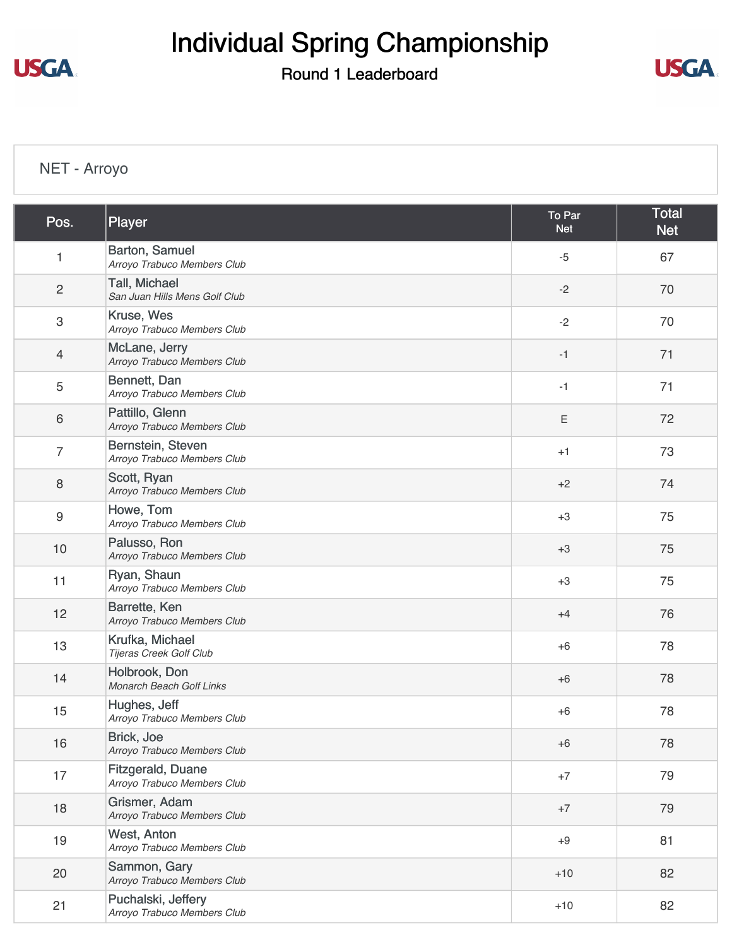**USGA.** 

# Individual Spring Championship

#### Round 1 Leaderboard



### [NET - Arroyo](https://static.golfgenius.com/v2tournaments/8517847432111874121?called_from=&round_index=1)

| Pos.             | Player                                            | To Par<br><b>Net</b> | <b>Total</b><br><b>Net</b> |
|------------------|---------------------------------------------------|----------------------|----------------------------|
| 1                | Barton, Samuel<br>Arroyo Trabuco Members Club     | $-5$                 | 67                         |
| $\overline{c}$   | Tall, Michael<br>San Juan Hills Mens Golf Club    | $-2$                 | 70                         |
| $\sqrt{3}$       | Kruse, Wes<br>Arroyo Trabuco Members Club         | $-2$                 | 70                         |
| $\overline{4}$   | McLane, Jerry<br>Arroyo Trabuco Members Club      | $-1$                 | 71                         |
| 5                | Bennett, Dan<br>Arroyo Trabuco Members Club       | $-1$                 | 71                         |
| 6                | Pattillo, Glenn<br>Arroyo Trabuco Members Club    | $\mathsf E$          | 72                         |
| $\overline{7}$   | Bernstein, Steven<br>Arroyo Trabuco Members Club  | $+1$                 | 73                         |
| $\,8\,$          | Scott, Ryan<br>Arroyo Trabuco Members Club        | $+2$                 | 74                         |
| $\boldsymbol{9}$ | Howe, Tom<br>Arroyo Trabuco Members Club          | $+3$                 | 75                         |
| 10               | Palusso, Ron<br>Arroyo Trabuco Members Club       | $+3$                 | 75                         |
| 11               | Ryan, Shaun<br>Arroyo Trabuco Members Club        | $+3$                 | 75                         |
| 12               | Barrette, Ken<br>Arroyo Trabuco Members Club      | $+4$                 | 76                         |
| 13               | Krufka, Michael<br>Tijeras Creek Golf Club        | $+6$                 | 78                         |
| 14               | Holbrook, Don<br>Monarch Beach Golf Links         | $+6$                 | 78                         |
| 15               | Hughes, Jeff<br>Arroyo Trabuco Members Club       | $+6$                 | 78                         |
| 16               | Brick, Joe<br>Arroyo Trabuco Members Club         | $+6$                 | 78                         |
| 17               | Fitzgerald, Duane<br>Arroyo Trabuco Members Club  | $+7$                 | 79                         |
| 18               | Grismer, Adam<br>Arroyo Trabuco Members Club      | $+7$                 | 79                         |
| 19               | West, Anton<br>Arroyo Trabuco Members Club        | $+9$                 | 81                         |
| 20               | Sammon, Gary<br>Arroyo Trabuco Members Club       | $+10$                | 82                         |
| 21               | Puchalski, Jeffery<br>Arroyo Trabuco Members Club | $+10$                | 82                         |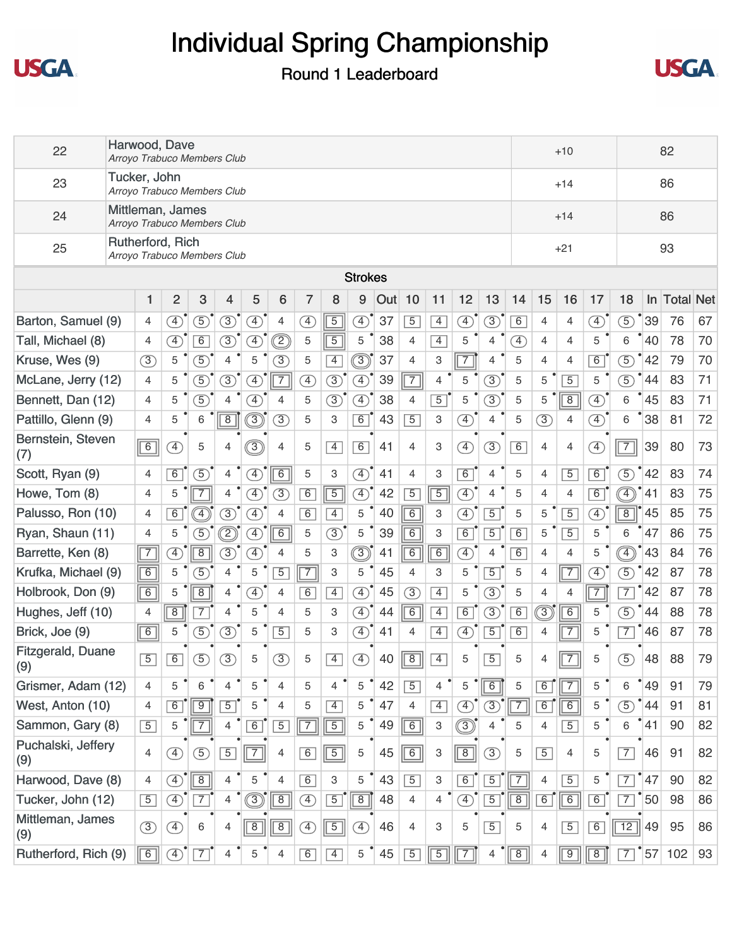



| 22                        | Harwood, Dave                                   |                |                | Arroyo Trabuco Members Club |                |                              |                |                |                |                              |     |                |                |                |                               |                              |                | $+10$          |                              | 82                     |                |                  |    |
|---------------------------|-------------------------------------------------|----------------|----------------|-----------------------------|----------------|------------------------------|----------------|----------------|----------------|------------------------------|-----|----------------|----------------|----------------|-------------------------------|------------------------------|----------------|----------------|------------------------------|------------------------|----------------|------------------|----|
| 23                        | Tucker, John<br>Arroyo Trabuco Members Club     |                |                |                             |                |                              |                |                |                |                              |     |                |                |                |                               |                              |                | $+14$          |                              |                        |                | 86               |    |
| 24                        | Mittleman, James<br>Arroyo Trabuco Members Club |                |                |                             |                |                              |                |                |                |                              |     |                |                |                |                               |                              |                | $+14$          |                              |                        |                | 86               |    |
| 25                        | Rutherford, Rich<br>Arroyo Trabuco Members Club |                |                |                             |                |                              |                |                |                |                              |     |                |                |                |                               |                              |                | $+21$          |                              |                        |                | 93               |    |
|                           |                                                 |                |                |                             |                |                              |                |                |                | <b>Strokes</b>               |     |                |                |                |                               |                              |                |                |                              |                        |                |                  |    |
|                           |                                                 | 1              | $\overline{2}$ | 3                           | 4              | 5                            | 6              | 7              | 8              | 9                            | Out | 10             | 11             | 12             | 13                            | 14                           | 15             | 16             | 17                           | 18                     | $\ln$          | <b>Total Net</b> |    |
| Barton, Samuel (9)        |                                                 | $\overline{4}$ | $\boxed{4}$    | $\circled{5}$               | $\circled{3}$  | A)                           | 4              | <sup>4</sup>   | $\overline{5}$ | $\mathcal{F}$                | 37  | $\sqrt{5}$     | $\overline{4}$ | $\circled{4}$  | 3                             | $\overline{6}$               | 4              | 4              | ④                            | $\circled{5}$          | 39             | 76               | 67 |
| Tall, Michael (8)         |                                                 | $\overline{4}$ | <sup>4</sup>   | $\overline{6}$              | $\circled{3}$  | A)                           | ②              | 5              | $\overline{5}$ | 5                            | 38  | $\overline{4}$ | $\overline{4}$ | 5              | $\overline{4}$                | $\left( \overline{4}\right)$ | 4              | 4              | 5                            | 6                      | 40             | 78               | 70 |
| Kruse, Wes (9)            |                                                 | $\circled{3}$  | 5              | $\circled{5}$               | 4              | 5                            | 3              | 5              | $\overline{4}$ | ③                            | 37  | $\overline{4}$ | 3              | $\overline{7}$ | 4                             | 5                            | $\overline{4}$ | 4              | 6                            | $\overline{5}$         | 42             | 79               | 70 |
| McLane, Jerry (12)        |                                                 | $\overline{4}$ | 5              | $\circledS$                 | 3)             | A)                           | $\overline{7}$ | <sup>4</sup>   | $\circled{3}$  | $\circledA$                  | 39  | $\overline{7}$ | 4              | 5              | $\circled{3}$                 | 5                            | 5              | $\overline{5}$ | 5                            | $\circled{5}$          | 44             | 83               | 71 |
| Bennett, Dan (12)         |                                                 | $\overline{4}$ | 5              | $\circled{5}$               | 4              | $\boxed{4}$                  | 4              | 5              | $\circled{3}$  | $\circled{4}$                | 38  | 4              | $\overline{5}$ | 5              | $\circled{3}$                 | 5                            | 5              | $\overline{8}$ | $\left( \overline{4}\right)$ | 6                      | 45             | 83               | 71 |
| Pattillo, Glenn (9)       |                                                 | $\overline{4}$ | 5              | 6                           | $\overline{8}$ | 3)                           | $\circled{3}$  | 5              | 3              | 6                            | 43  | $\sqrt{5}$     | 3              | $\circledA$    | 4                             | 5                            | $\circled{3}$  | 4              | $\bigoplus$                  | 6                      | 38             | 81               | 72 |
| Bernstein, Steven<br>(7)  |                                                 | $\boxed{6}$    | $\mathcal{F}$  | 5                           | $\overline{4}$ | ③                            | $\overline{4}$ | 5              | $\overline{4}$ | 6                            | 41  | $\overline{4}$ | 3              | $\circled{4}$  | $\circled{3}$                 | $\boxed{6}$                  | 4              | 4              | $\bigcirc$                   | $\boxed{7}$            | 39             | 80               | 73 |
| Scott, Ryan (9)           |                                                 | $\overline{4}$ | 6              | (5)                         | 4              | $\circled{4}$                | 6              | 5              | 3              | $\circled{4}$                | 41  | $\overline{4}$ | 3              | 6              | $\overline{4}$                | 5                            | 4              | $\overline{5}$ | 6                            | $\mathcal{F}$          | 42             | 83               | 74 |
| Howe, Tom (8)             |                                                 | 4              | 5              | $\overline{7}$              | 4              | $\left( \overline{4}\right)$ | $\circled{3}$  | 6              | $\overline{5}$ | $\circled{4}$                | 42  | $\sqrt{5}$     | $\overline{5}$ | $\bigoplus$    | 4                             | 5                            | 4              | 4              | 6                            | $\widehat{\ket{\Phi}}$ | 41             | 83               | 75 |
| Palusso, Ron (10)         |                                                 | $\overline{4}$ | $\overline{6}$ | $\boxed{4}$                 | $\circled{3}$  | <sup>4</sup>                 | $\overline{4}$ | 6              | $\overline{4}$ | 5                            | 40  | $\overline{6}$ | 3              | $\bigoplus$    | $\overline{5}$                | 5                            | 5              | $\overline{5}$ | $\left( \overline{4}\right)$ | $\overline{8}$         | 45             | 85               | 75 |
| Ryan, Shaun (11)          |                                                 | $\overline{4}$ | 5              | $\circ$                     | D)             | $\left( \overline{4}\right)$ | 6              | 5              | $\circled{3}$  | 5                            | 39  | $\overline{6}$ | 3              | $\overline{6}$ | $\overline{5}$                | 6                            | 5              | $\overline{5}$ | 5                            | 6                      | 47             | 86               | 75 |
| Barrette, Ken (8)         |                                                 | $\sqrt{7}$     | $\boxed{4}$    | $\overline{8}$              | 3)             | $\left( \overline{4}\right)$ | 4              | 5              | 3              | ි                            | 41  | $\overline{6}$ | $\overline{6}$ | $\circled{4}$  | 4                             | $\overline{6}$               | $\overline{4}$ | 4              | 5                            | $\widehat{4}$          | 43             | 84               | 76 |
| Krufka, Michael (9)       |                                                 | 6              | 5              | $\left(5\right)$            | 4              | 5                            | $\overline{5}$ | $\overline{7}$ | 3              | 5                            | 45  | $\overline{4}$ | 3              | 5              | $\overline{5}$                | 5                            | 4              | $\overline{7}$ | $\left( \overline{4}\right)$ | $\circled{5}$          | 42             | 87               | 78 |
| Holbrook, Don (9)         |                                                 | 6              | 5              | $\overline{8}$              | 4              | $\left( \overline{4}\right)$ | $\overline{4}$ | 6              | $\overline{4}$ | $\circled{4}$                | 45  | $\circled{3}$  | $\overline{4}$ | 5              | $\circled{3}$                 | 5                            | 4              | 4              | $\overline{7}$               | $\overline{7}$         | 42             | 87               | 78 |
| Hughes, Jeff (10)         |                                                 | $\overline{4}$ | $\overline{8}$ | $\overline{7}$              | 4              | 5                            | 4              | 5              | 3              | $\circled{4}$                | 44  | 6              | $\overline{4}$ | 6              | $\circled{3}$                 | 6                            | ③              | $\overline{6}$ | 5                            | $\mathcal{F}$          | 44             | 88               | 78 |
| Brick, Joe (9)            |                                                 | $\boxed{6}$    | 5              | (5)                         | $\circled{3}$  | 5                            | $\overline{5}$ | 5              | 3              | $\circled{4}$                | 41  | 4              | $\overline{4}$ | <sup>4</sup>   | $\overline{5}$                | 6                            | 4              | $\overline{7}$ | 5                            | $\overline{7}$         | 46             | 87               | 78 |
| Fitzgerald, Duane<br>(9)  |                                                 | $\overline{5}$ | 6              | (5)                         | $\circled{3}$  | 5                            | 3              | 5              | $\overline{4}$ | $\left( \overline{4}\right)$ | 40  | $\overline{8}$ | $\overline{4}$ | 5              | $\overline{5}$                | 5                            | 4              | $\overline{7}$ | 5                            | $\circledS$            | 48             | 88               | 79 |
| Grismer, Adam (12)        |                                                 | $\overline{4}$ | 5              | 6                           | 4              | 5                            | $\overline{4}$ | 5              | 4              | 5                            | 42  | $\sqrt{5}$     | $\overline{4}$ | 5              | $\overline{6}$                | 5                            | 6              | $\overline{7}$ | 5                            | 6                      | $ 49\rangle$   | 91               | 79 |
| West, Anton (10)          |                                                 | 4              | 6              | $\overline{9}$              | $\overline{5}$ | 5                            | $\overline{4}$ | 5              | $\overline{4}$ | 5                            | 47  | $\overline{4}$ | $\overline{4}$ | ④              | $(3)$ <sup>'</sup> $\sqrt{7}$ |                              | 6              | $\overline{6}$ | 5                            | $\circled{5}$          | 44             | 91               | 81 |
| Sammon, Gary (8)          |                                                 | $5\overline{}$ | 5              | $\sqrt{7}$                  | 4              | $\boxed{6}$                  | $\overline{5}$ | $\overline{7}$ | $\overline{5}$ | 5                            | 49  | $\overline{6}$ | 3              | $\circledS$    | 4                             | 5                            | 4              | $\overline{5}$ | 5                            | 6                      | 41             | 90               | 82 |
| Puchalski, Jeffery<br>(9) |                                                 | 4              | ④              | $\circled{5}$               | $\overline{5}$ | $\sqrt{7}$                   | $\overline{4}$ | 6              | $\boxed{5}$    | 5                            | 45  | $\boxed{6}$    | 3              | $\boxed{8}$    | $\circled{3}$                 | 5                            | $\overline{5}$ | 4              | 5                            | $\overline{7}$         | 46             | 91               | 82 |
| Harwood, Dave (8)         |                                                 | $\overline{4}$ | $\circled{4}$  | $\sqrt{8}$                  | $\overline{4}$ | 5                            | $\overline{4}$ | 6              | 3              | 5                            | 43  | $\sqrt{5}$     | 3              | 6              | $\overline{5}$                | $\sqrt{7}$                   | $\overline{4}$ | $\overline{5}$ | 5                            | $\overline{7}$         | 47]            | 90               | 82 |
| Tucker, John (12)         |                                                 | $\boxed{5}$    | $\circled{4}$  | $\overline{7}$              | $\overline{4}$ | $\circledS$                  | $\boxed{8}$    | Ð              | $\overline{5}$ | $\sqrt{8}$                   | 48  | $\overline{4}$ | 4              | ④              | $\overline{5}$                | $\sqrt{8}$                   | $\boxed{6}$    | $\boxed{6}$    | 6                            | $\overline{7}$         | $\frac{1}{50}$ | 98               | 86 |
| Mittleman, James<br>(9)   |                                                 | $\circled{3}$  | $\circled{4}$  | 6                           | $\overline{4}$ | $\sqrt{8}$                   | $\boxed{8}$    | $\circled{4}$  | $\boxed{5}$    | $\circled{4}$                | 46  | $\overline{4}$ | 3              | 5              | $\overline{5}$                | 5                            | $\overline{4}$ | $\overline{5}$ | 6                            | $\overline{12}$        | 49             | 95               | 86 |
| Rutherford, Rich (9)      |                                                 | $\boxed{6}$    | $\circled{4}$  | $\boxed{7}$                 | $\overline{4}$ | 5                            | $\overline{4}$ | 6              | $\overline{4}$ | 5                            | 45  | $\sqrt{5}$     | $\overline{5}$ | $\boxed{7}$    | $\overline{4}$                | $\sqrt[3]{3}$                | 4              | $\overline{9}$ | $\overline{8}$               | $\overline{7}$         | 157            | 102              | 93 |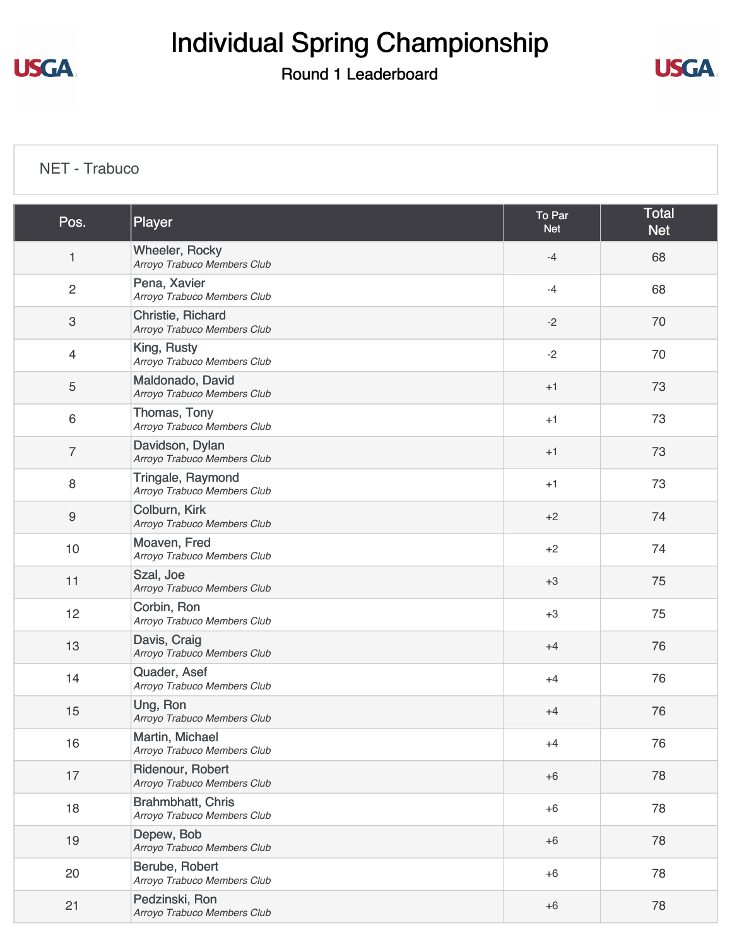# Individual Spring Championship

#### Round 1 Leaderboard



#### [NET - Trabuco](https://static.golfgenius.com/v2tournaments/8517847423589048392?called_from=&round_index=1)

| Pos.                      | Player                                               | To Par<br><b>Net</b> | <b>Total</b><br><b>Net</b> |
|---------------------------|------------------------------------------------------|----------------------|----------------------------|
| $\mathbf{1}$              | <b>Wheeler, Rocky</b><br>Arroyo Trabuco Members Club | $-4$                 | 68                         |
| $\overline{c}$            | Pena, Xavier<br>Arroyo Trabuco Members Club          | $-4$                 | 68                         |
| $\ensuremath{\mathsf{3}}$ | Christie, Richard<br>Arroyo Trabuco Members Club     | $-2$                 | 70                         |
| $\overline{4}$            | King, Rusty<br>Arroyo Trabuco Members Club           | $-2$                 | 70                         |
| $\sqrt{5}$                | Maldonado, David<br>Arroyo Trabuco Members Club      | $+1$                 | 73                         |
| 6                         | Thomas, Tony<br>Arroyo Trabuco Members Club          | $+1$                 | 73                         |
| 7                         | Davidson, Dylan<br>Arroyo Trabuco Members Club       | $+1$                 | 73                         |
| 8                         | Tringale, Raymond<br>Arroyo Trabuco Members Club     | $+1$                 | 73                         |
| $\boldsymbol{9}$          | Colburn, Kirk<br>Arroyo Trabuco Members Club         | $+2$                 | 74                         |
| 10                        | Moaven, Fred<br>Arroyo Trabuco Members Club          | $+2$                 | 74                         |
| 11                        | Szal, Joe<br>Arroyo Trabuco Members Club             | $+3$                 | 75                         |
| 12                        | Corbin, Ron<br>Arroyo Trabuco Members Club           | $+3$                 | 75                         |
| 13                        | Davis, Craig<br>Arroyo Trabuco Members Club          | $+4$                 | 76                         |
| 14                        | Quader, Asef<br>Arroyo Trabuco Members Club          | $+4$                 | 76                         |
| 15                        | Ung, Ron<br>Arroyo Trabuco Members Club              | $+4$                 | 76                         |
| 16                        | Martin, Michael<br>Arroyo Trabuco Members Club       | $+4$                 | 76                         |
| 17                        | Ridenour, Robert<br>Arroyo Trabuco Members Club      | $+6$                 | 78                         |
| 18                        | Brahmbhatt, Chris<br>Arroyo Trabuco Members Club     | $+6$                 | 78                         |
| 19                        | Depew, Bob<br>Arroyo Trabuco Members Club            | $+6$                 | 78                         |
| 20                        | Berube, Robert<br>Arroyo Trabuco Members Club        | $+6$                 | 78                         |
| 21                        | Pedzinski, Ron<br>Arroyo Trabuco Members Club        | $+6$                 | 78                         |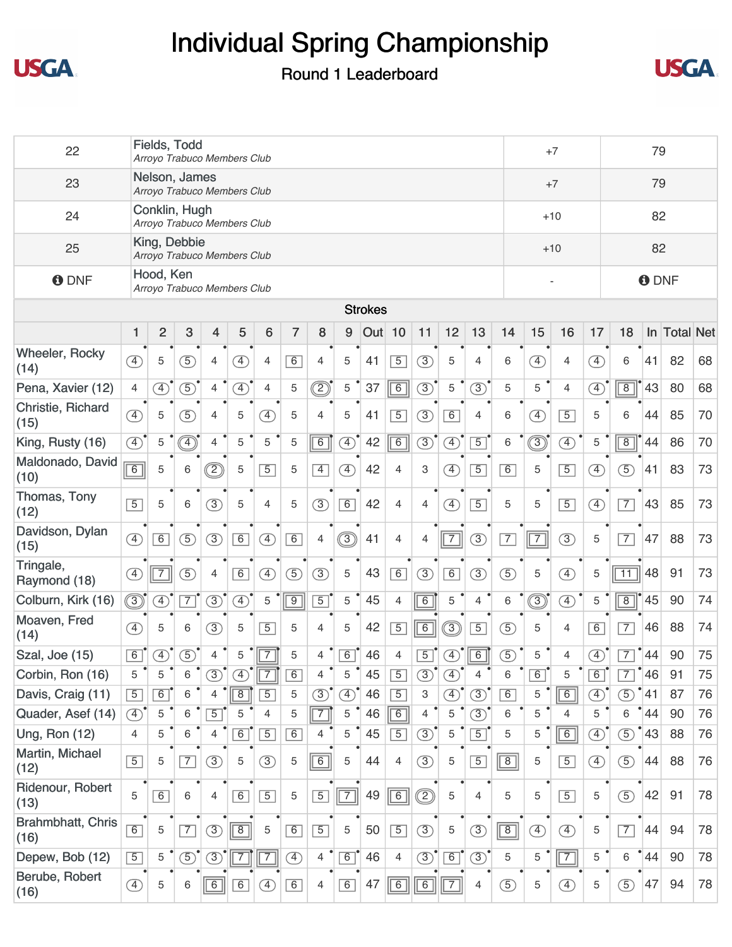



| 22                            |                              | Fields, Todd<br>79<br>$+7$<br>Arroyo Trabuco Members Club<br>Nelson, James |                                                                                                                                                                                                                                                                                                                                               |                |                              |                              |                |                |               |                |                |                |               |                |                |                              |                              |               |                 |                 |              |    |
|-------------------------------|------------------------------|----------------------------------------------------------------------------|-----------------------------------------------------------------------------------------------------------------------------------------------------------------------------------------------------------------------------------------------------------------------------------------------------------------------------------------------|----------------|------------------------------|------------------------------|----------------|----------------|---------------|----------------|----------------|----------------|---------------|----------------|----------------|------------------------------|------------------------------|---------------|-----------------|-----------------|--------------|----|
| 23                            |                              |                                                                            |                                                                                                                                                                                                                                                                                                                                               |                | Arroyo Trabuco Members Club  |                              |                |                |               |                |                |                |               |                |                |                              | $+7$                         |               |                 | 79              |              |    |
| 24                            |                              | Conklin, Hugh                                                              |                                                                                                                                                                                                                                                                                                                                               |                | Arroyo Trabuco Members Club  |                              |                |                |               |                |                |                |               |                |                |                              | $+10$                        |               |                 | 82              |              |    |
| 25                            |                              | King, Debbie                                                               |                                                                                                                                                                                                                                                                                                                                               |                | Arroyo Trabuco Members Club  |                              |                |                |               |                |                |                |               |                |                |                              | $+10$                        |               |                 | 82              |              |    |
| <b>O</b> DNF                  |                              | Hood, Ken                                                                  |                                                                                                                                                                                                                                                                                                                                               |                | Arroyo Trabuco Members Club  |                              |                |                |               |                |                |                |               |                |                |                              |                              |               |                 | <b>O</b> DNF    |              |    |
|                               |                              |                                                                            |                                                                                                                                                                                                                                                                                                                                               |                |                              |                              |                |                |               | <b>Strokes</b> |                |                |               |                |                |                              |                              |               |                 |                 |              |    |
|                               | $\mathbf{1}$                 | $\overline{2}$                                                             | $\mathbf{3}$                                                                                                                                                                                                                                                                                                                                  | $\overline{4}$ | 5                            | 6                            | $\overline{7}$ | 8              | 9             | Out 10         |                | 11             | 12            | 13             | 14             | 15                           | 16                           | 17            | 18              |                 | In Total Net |    |
| <b>Wheeler, Rocky</b><br>(14) | $\left( \overline{4}\right)$ | 5                                                                          | $\left(5\right)$                                                                                                                                                                                                                                                                                                                              | 4              | $\left( \overline{4}\right)$ | $\overline{4}$               | 6              | $\overline{4}$ | 5             | 41             | $\overline{5}$ | $\circled{3}$  | 5             | 4              | 6              | 4                            | $\overline{4}$               | $\circled{4}$ | 6               | 41              | 82           | 68 |
| Pena, Xavier (12)             | $\overline{4}$               | $\circled{4}$                                                              | $\circled{5}$                                                                                                                                                                                                                                                                                                                                 | $\overline{4}$ | $\left( \overline{4}\right)$ | $\overline{4}$               | 5              | $\circledcirc$ | 5             | 37             | $\overline{6}$ | $\circled{3}$  | 5             | $\circled{3}$  | 5              | 5                            | $\overline{4}$               | $\circled{4}$ | $\overline{8}$  | 43              | 80           | 68 |
| Christie, Richard<br>(15)     | $\circled{4}$                | 5                                                                          | $\overline{5}$                                                                                                                                                                                                                                                                                                                                | $\overline{4}$ | 5                            | $\left( \overline{4}\right)$ | 5              | 4              | 5             | 41             | $\overline{5}$ | $\circled{3}$  | 6             | $\overline{4}$ | 6              | $\left( \overline{4}\right)$ | $\overline{5}$               | 5             | 6               | 44              | 85           | 70 |
| King, Rusty (16)              | $\left( \overline{4}\right)$ | 5                                                                          | $\begin{picture}(45,15) \put(0,0){\line(1,0){155}} \put(15,0){\line(1,0){155}} \put(15,0){\line(1,0){155}} \put(15,0){\line(1,0){155}} \put(15,0){\line(1,0){155}} \put(15,0){\line(1,0){155}} \put(15,0){\line(1,0){155}} \put(15,0){\line(1,0){155}} \put(15,0){\line(1,0){155}} \put(15,0){\line(1,0){155}} \put(15,0){\line(1,0){155}} \$ | $\overline{4}$ | 5                            | 5                            | 5              | $\overline{6}$ | $\circled{4}$ | 42             | $\overline{6}$ | $\circled{3}$  | $\circled{4}$ | $\overline{5}$ | 6              | ◉                            | $\overline{4}$               | 5             | $\overline{8}$  | 44              | 86           | 70 |
| Maldonado, David<br>(10)      | $\overline{6}$               | 5                                                                          | 6                                                                                                                                                                                                                                                                                                                                             | ©              | 5                            | $\overline{5}$               | 5              | $\overline{4}$ | $\circled{4}$ | 42             | 4              | 3              | $\circledA$   | $\overline{5}$ | 6              | 5                            | $\overline{5}$               | $\circled{4}$ | $\overline{5}$  | 41              | 83           | 73 |
| Thomas, Tony<br>(12)          | $\overline{5}$               | 5                                                                          | 6                                                                                                                                                                                                                                                                                                                                             | (3)            | 5                            | $\overline{4}$               | 5              | (3)            | $\boxed{6}$   | 42             | 4              | $\overline{4}$ | $\circled{4}$ | $\overline{5}$ | 5              | 5                            | $\overline{5}$               | $\circled{4}$ | $\overline{7}$  | 43              | 85           | 73 |
| Davidson, Dylan<br>(15)       | $\circled{4}$                | 6                                                                          | (5)                                                                                                                                                                                                                                                                                                                                           | (3)            | 6                            | $\circled{4}$                | 6              | $\overline{4}$ | $\circledS$   | 41             | $\overline{4}$ | $\overline{4}$ | $\boxed{7}$   | $\circled{3}$  | $\overline{7}$ | $\boxed{7}$                  | $\circled{3}$                | 5             | $\overline{7}$  | 47              | 88           | 73 |
| Tringale,<br>Raymond (18)     | $\left( \overline{4}\right)$ | $\overline{7}$                                                             | $\overline{5}$                                                                                                                                                                                                                                                                                                                                | 4              | 6                            | $\circled{4}$                | $\circled{5}$  | $\circled{3}$  | 5             | 43             | 6              | $\circled{3}$  | 6             | $\circled{3}$  | $\circled{5}$  | 5                            | $\left( \overline{4}\right)$ | 5             | $\overline{11}$ | 48              | 91           | 73 |
| Colburn, Kirk (16)            | $\circledS$                  | $\overline{4}$                                                             | $\overline{7}$                                                                                                                                                                                                                                                                                                                                | $\circled{3}$  | $\circled{4}$                | 5                            | $\overline{9}$ | $\overline{5}$ | 5             | 45             | $\overline{4}$ | $\overline{6}$ | $\mathbf 5$   | $\overline{4}$ | 6              | ③                            | $\overline{4}$               | 5             | $\overline{8}$  | 45              | 90           | 74 |
| Moaven, Fred<br>(14)          | $\left( \overline{4}\right)$ | 5                                                                          | 6                                                                                                                                                                                                                                                                                                                                             | $\circled{3}$  | 5                            | $\overline{5}$               | 5              | $\overline{4}$ | 5             | 42             | $\overline{5}$ | 6              | $\circledS$   | $\overline{5}$ | $\circled{5}$  | 5                            | 4                            | 6             | $\overline{7}$  | 46              | 88           | 74 |
| Szal, Joe (15)                | 6                            | $\circled{4}$                                                              | $\circled{5}$                                                                                                                                                                                                                                                                                                                                 | 4              | 5                            | $\overline{7}$               | 5              | $\overline{4}$ | 6             | 46             | $\overline{4}$ | $\overline{5}$ | $\circled{4}$ | $\boxed{6}$    | $\circled{5}$  | 5                            | 4                            | $\mathcal{F}$ | $\overline{7}$  | 44              | 90           | 75 |
| Corbin, Ron (16)              | 5                            | 5                                                                          | 6                                                                                                                                                                                                                                                                                                                                             | 3)             | ④                            | $\overline{7}$               | 6              | 4              | 5             | 45             | $\overline{5}$ | $\circled{3}$  | ④             | 4              | 6              | $\overline{6}$               | 5                            | 6             | 7               | 46              | 91           | 75 |
| Davis, Craig (11)             | $\overline{5}$               | 6                                                                          | 6                                                                                                                                                                                                                                                                                                                                             | 4              | $\overline{8}$               | $\overline{5}$               | 5              | $\circled{3}$  | $\circled{4}$ | 46             | $\overline{5}$ | 3              | $\circled{4}$ | $\circled{3}$  | 6              | 5                            | $\overline{6}$               | $\circled{4}$ | $\circled{5}$   | 41              | 87           | 76 |
| Quader, Asef (14)             | $\circled{4}$                | 5                                                                          | 6                                                                                                                                                                                                                                                                                                                                             | $\overline{5}$ | 5                            | $\overline{4}$               | 5              | $\overline{7}$ | 5             | 46             | $\boxed{6}$    | 4              | $\mathbf 5$   | $\circled{3}$  | 6              | 5                            | 4                            | 5             | 6               | $\degree$ 44    | 90           | 76 |
| <b>Ung, Ron (12)</b>          | $\overline{4}$               | 5                                                                          | 6                                                                                                                                                                                                                                                                                                                                             | $\overline{4}$ | 6                            | $\overline{5}$               | 6              | 4              | 5             | 45             | $\overline{5}$ | $\circled{3}$  | $\mathbf 5$   | $\overline{5}$ | 5              | 5                            | $\boxed{6}$                  | $\circled{4}$ | $\circled{5}$   | 43              | 88           | 76 |
| Martin, Michael<br>(12)       | $\overline{5}$               | 5                                                                          | $\overline{7}$                                                                                                                                                                                                                                                                                                                                | (3)            | $\mathbf 5$                  | (3)                          | 5              | $\boxed{6}$    | 5             | 44             | 4              | $\circled{3}$  | $\mathbf 5$   | $\boxed{5}$    | $\boxed{8}$    | 5                            | $\overline{5}$               | $\circled{4}$ | $\circled{5}$   | 44              | 88           | 76 |
| Ridenour, Robert<br>(13)      | 5                            | 6                                                                          | 6                                                                                                                                                                                                                                                                                                                                             | 4              | $\boxed{6}$                  | $\boxed{5}$                  | 5              | $\overline{5}$ | $\boxed{7}$   | 49             | $\boxed{6}$    | ②              | $\sqrt{5}$    | $\overline{4}$ | 5              | 5                            | $\overline{5}$               | 5             | $\circled{5}$   | 42              | 91           | 78 |
| Brahmbhatt, Chris<br>(16)     | 6                            | 5                                                                          | $\overline{7}$                                                                                                                                                                                                                                                                                                                                | $\circled{3}$  | $\boxed{8}$                  | 5                            | 6              | $\overline{5}$ | 5             | 50             | $\overline{5}$ | $\circled{3}$  | $\,$ 5 $\,$   | $\circled{3}$  | $\boxed{8}$    | $\circled{4}$                | $\circled{4}$                | 5             | $\overline{7}$  | 44              | 94           | 78 |
| Depew, Bob (12)               | $\overline{5}$               | 5                                                                          | $\circled{5}$                                                                                                                                                                                                                                                                                                                                 | $\circled{3}$  | $\overline{7}$               | 7                            | ④              | $4^{\circ}$    | 6             | 46             | $\overline{4}$ | $\circledcirc$ | $\boxed{6}$   | $\circled{3}$  | 5              | 5                            | $\sqrt{7}$                   | 5             | 6               | $^{\bullet}$ 44 | 90           | 78 |
| Berube, Robert<br>(16)        | $\circled{4}$                | 5                                                                          | 6                                                                                                                                                                                                                                                                                                                                             | $\boxed{6}$    | $\boxed{6}$                  | $\left( \overline{4}\right)$ | 6              | $\overline{4}$ | $\boxed{6}$   | 47             | $\overline{6}$ | $6\overline{}$ | $\boxed{7}$   | $\overline{4}$ | $\circled{5}$  | 5                            | $\circled{4}$                | 5             | $\circled{5}$   | 47              | 94           | 78 |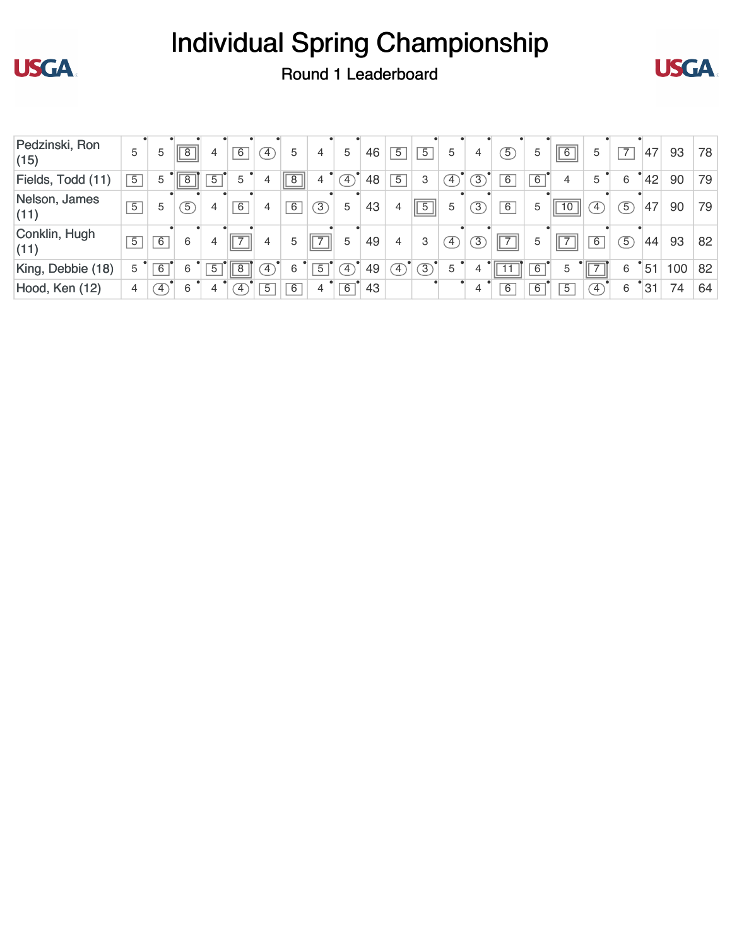



**USGA** 

| Pedzinski, Ron<br>(15) | 5              | 5              | 8              | 4              | $\overline{6}$      | Ŧ,             | 5              | 4              | 5              | 46 | $\overline{5}$ | $\overline{5}$ | 5             | 4              | $\overline{5}$ | 5              | $\sqrt{6}$                         | 5              | $\overline{7}$ | 47 | 93  | 78 |
|------------------------|----------------|----------------|----------------|----------------|---------------------|----------------|----------------|----------------|----------------|----|----------------|----------------|---------------|----------------|----------------|----------------|------------------------------------|----------------|----------------|----|-----|----|
| Fields, Todd (11)      | 5              | 5              |                | 5              | 5                   | 4              | $\overline{8}$ |                | $\mathcal{I}$  | 48 | $\overline{5}$ | 3              | $\mathcal{F}$ | $\overline{3}$ | $\overline{6}$ | $\overline{6}$ | 4                                  | 5              | 6              | 42 | 90  | 79 |
| Nelson, James<br>(11)  | $\overline{5}$ | 5              | $\overline{5}$ | 4              | $\overline{6}$      | 4              | 6              | $\circled{3}$  | 5              | 43 | 4              | $\overline{5}$ | 5             | $\overline{3}$ | 6              | 5              | 10                                 | $\sqrt{4}$     | $\overline{5}$ | 47 | 90  | 79 |
| Conklin, Hugh<br>(11)  | $\overline{5}$ | $\overline{6}$ | 6              | 4              | $\overline{7}$<br>Ш | 4              | 5              | ш              | 5              | 49 | 4              | 3              | $\sqrt{4}$    | 3              | $\sqrt{7}$     | 5              | $\overline{\phantom{0}}$<br>' II → | $\overline{6}$ | $\sqrt{5}$     | 44 | 93  | 82 |
| King, Debbie (18)      | 5              | $\overline{6}$ | 6              | $\overline{5}$ | $\overline{8}$      | Ŧ,             | 6              | $\overline{5}$ | $\overline{4}$ | 49 | Ŧ,             | $\overline{3}$ | 5             | 4              | ш              | 6              | 5                                  | Ш              | 6              | 51 | 100 | 82 |
| Hood, Ken (12)         | 4              | $\overline{4}$ | 6              | 4              | $\overline{4}$      | $\overline{5}$ | 6              | 4              | $\overline{6}$ | 43 |                |                |               | 4              | $\overline{6}$ | 6              | $\overline{5}$                     | $\overline{4}$ | 6              | 31 | 74  | 64 |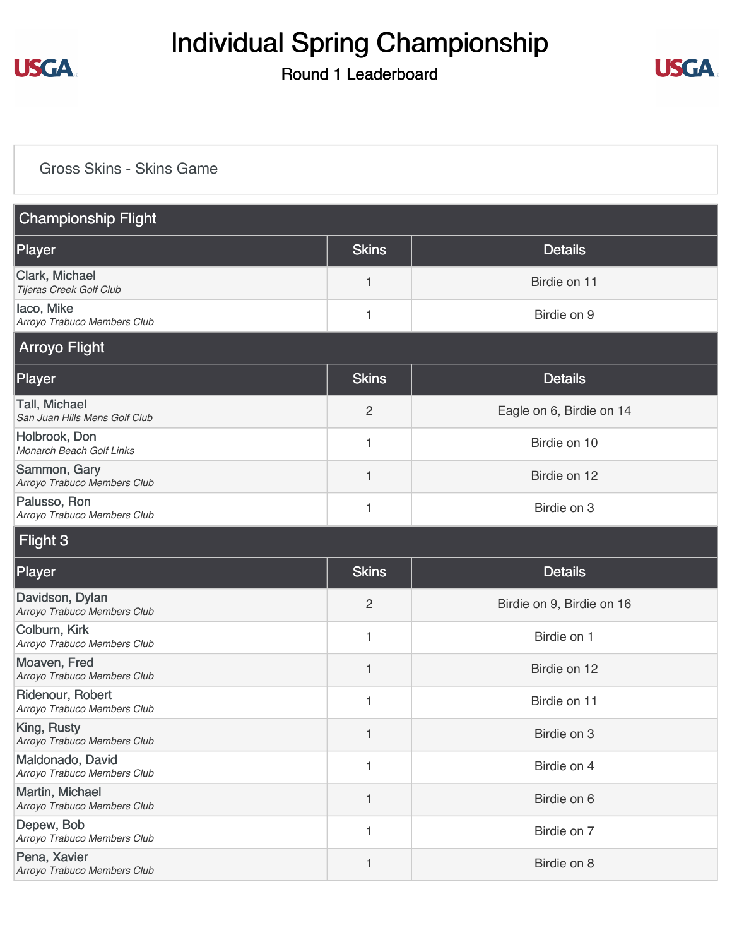

#### Round 1 Leaderboard



#### [Gross Skins - Skins Game](https://static.golfgenius.com/v2tournaments/8517729402652483650?called_from=&round_index=1)

| <b>Championship Flight</b>                      |                |                           |
|-------------------------------------------------|----------------|---------------------------|
| Player                                          | <b>Skins</b>   | <b>Details</b>            |
| Clark, Michael<br>Tijeras Creek Golf Club       | 1              | Birdie on 11              |
| laco, Mike<br>Arroyo Trabuco Members Club       | 1              | Birdie on 9               |
| <b>Arroyo Flight</b>                            |                |                           |
| Player                                          | <b>Skins</b>   | <b>Details</b>            |
| Tall, Michael<br>San Juan Hills Mens Golf Club  | $\overline{2}$ | Eagle on 6, Birdie on 14  |
| Holbrook, Don<br>Monarch Beach Golf Links       | 1              | Birdie on 10              |
| Sammon, Gary<br>Arroyo Trabuco Members Club     | 1              | Birdie on 12              |
| Palusso, Ron<br>Arroyo Trabuco Members Club     | 1              | Birdie on 3               |
| Flight 3                                        |                |                           |
| Player                                          | <b>Skins</b>   | <b>Details</b>            |
| Davidson, Dylan<br>Arroyo Trabuco Members Club  | $\overline{c}$ | Birdie on 9, Birdie on 16 |
| Colburn, Kirk<br>Arroyo Trabuco Members Club    | 1              | Birdie on 1               |
| Moaven, Fred<br>Arroyo Trabuco Members Club     | 1              | Birdie on 12              |
| Ridenour, Robert<br>Arroyo Trabuco Members Club | 1              | Birdie on 11              |
| King, Rusty<br>Arroyo Trabuco Members Club      | 1              | Birdie on 3               |
| Maldonado, David<br>Arroyo Trabuco Members Club | 1              | Birdie on 4               |
| Martin, Michael<br>Arroyo Trabuco Members Club  | 1              | Birdie on 6               |
| Depew, Bob<br>Arroyo Trabuco Members Club       | 1              | Birdie on 7               |
| Pena, Xavier<br>Arroyo Trabuco Members Club     | 1              | Birdie on 8               |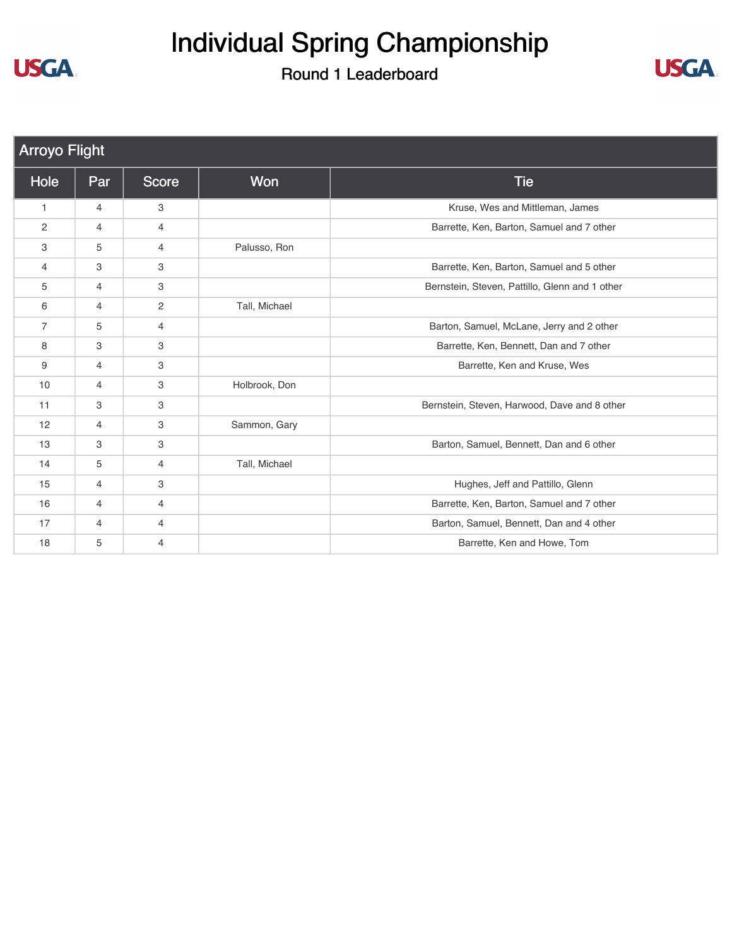# Individual Spring Championship



| <b>Arroyo Flight</b> |                |                |               |                                                |
|----------------------|----------------|----------------|---------------|------------------------------------------------|
| Hole                 | Par            | <b>Score</b>   | Won           | <b>Tie</b>                                     |
| 1                    | 4              | 3              |               | Kruse, Wes and Mittleman, James                |
| 2                    | 4              | $\overline{4}$ |               | Barrette, Ken, Barton, Samuel and 7 other      |
| 3                    | 5              | $\overline{4}$ | Palusso, Ron  |                                                |
| 4                    | 3              | 3              |               | Barrette, Ken, Barton, Samuel and 5 other      |
| 5                    | $\overline{4}$ | 3              |               | Bernstein, Steven, Pattillo, Glenn and 1 other |
| 6                    | 4              | 2              | Tall, Michael |                                                |
| $\overline{7}$       | 5              | $\overline{4}$ |               | Barton, Samuel, McLane, Jerry and 2 other      |
| 8                    | 3              | 3              |               | Barrette, Ken, Bennett, Dan and 7 other        |
| 9                    | 4              | 3              |               | Barrette, Ken and Kruse, Wes                   |
| 10                   | 4              | 3              | Holbrook, Don |                                                |
| 11                   | 3              | 3              |               | Bernstein, Steven, Harwood, Dave and 8 other   |
| 12                   | 4              | 3              | Sammon, Gary  |                                                |
| 13                   | 3              | 3              |               | Barton, Samuel, Bennett, Dan and 6 other       |
| 14                   | 5              | $\overline{4}$ | Tall, Michael |                                                |
| 15                   | 4              | 3              |               | Hughes, Jeff and Pattillo, Glenn               |
| 16                   | 4              | $\overline{4}$ |               | Barrette, Ken, Barton, Samuel and 7 other      |
| 17                   | 4              | $\overline{4}$ |               | Barton, Samuel, Bennett, Dan and 4 other       |
| 18                   | 5              | 4              |               | Barrette, Ken and Howe, Tom                    |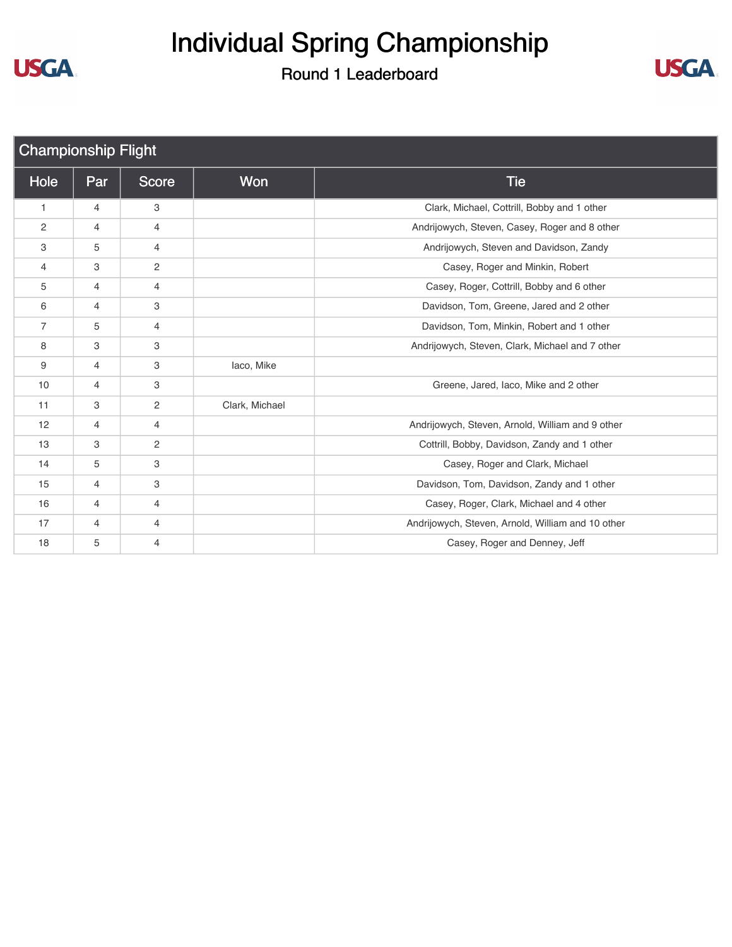



| <b>Championship Flight</b> |                |                |                |                                                   |
|----------------------------|----------------|----------------|----------------|---------------------------------------------------|
| Hole                       | Par            | Score          | Won            | <b>Tie</b>                                        |
| $\mathbf{1}$               | 4              | 3              |                | Clark, Michael, Cottrill, Bobby and 1 other       |
| 2                          | 4              | $\overline{4}$ |                | Andrijowych, Steven, Casey, Roger and 8 other     |
| 3                          | 5              | 4              |                | Andrijowych, Steven and Davidson, Zandy           |
| $\overline{4}$             | 3              | $\mathbf{2}$   |                | Casey, Roger and Minkin, Robert                   |
| 5                          | 4              | 4              |                | Casey, Roger, Cottrill, Bobby and 6 other         |
| 6                          | 4              | 3              |                | Davidson, Tom, Greene, Jared and 2 other          |
| $\overline{7}$             | 5              | $\overline{4}$ |                | Davidson, Tom, Minkin, Robert and 1 other         |
| 8                          | 3              | 3              |                | Andrijowych, Steven, Clark, Michael and 7 other   |
| 9                          | 4              | 3              | laco, Mike     |                                                   |
| 10                         | 4              | 3              |                | Greene, Jared, Iaco, Mike and 2 other             |
| 11                         | 3              | 2              | Clark, Michael |                                                   |
| 12                         | 4              | 4              |                | Andrijowych, Steven, Arnold, William and 9 other  |
| 13                         | 3              | $\mathbf{2}$   |                | Cottrill, Bobby, Davidson, Zandy and 1 other      |
| 14                         | 5              | 3              |                | Casey, Roger and Clark, Michael                   |
| 15                         | 4              | 3              |                | Davidson, Tom, Davidson, Zandy and 1 other        |
| 16                         | $\overline{4}$ | $\overline{4}$ |                | Casey, Roger, Clark, Michael and 4 other          |
| 17                         | 4              | 4              |                | Andrijowych, Steven, Arnold, William and 10 other |
| 18                         | 5              | $\overline{4}$ |                | Casey, Roger and Denney, Jeff                     |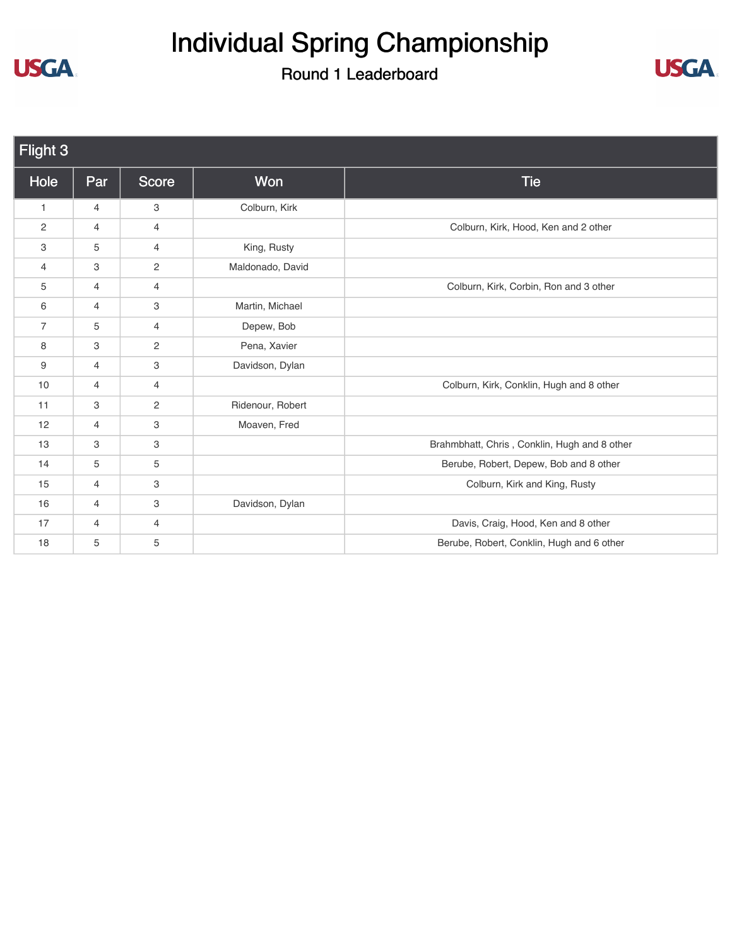# Individual Spring Championship



| Flight 3       |                |                       |                  |                                              |
|----------------|----------------|-----------------------|------------------|----------------------------------------------|
| Hole           | Par            | Score                 | Won              | <b>Tie</b>                                   |
| $\mathbf{1}$   | 4              | 3                     | Colburn, Kirk    |                                              |
| $\mathbf{2}$   | 4              | 4                     |                  | Colburn, Kirk, Hood, Ken and 2 other         |
| 3              | 5              | 4                     | King, Rusty      |                                              |
| $\overline{4}$ | 3              | $\mathbf{2}^{\prime}$ | Maldonado, David |                                              |
| 5              | $\overline{4}$ | $\overline{4}$        |                  | Colburn, Kirk, Corbin, Ron and 3 other       |
| 6              | 4              | 3                     | Martin, Michael  |                                              |
| $\overline{7}$ | 5              | 4                     | Depew, Bob       |                                              |
| 8              | 3              | $\sqrt{2}$            | Pena, Xavier     |                                              |
| 9              | $\overline{4}$ | 3                     | Davidson, Dylan  |                                              |
| 10             | $\overline{4}$ | $\overline{4}$        |                  | Colburn, Kirk, Conklin, Hugh and 8 other     |
| 11             | 3              | $\overline{c}$        | Ridenour, Robert |                                              |
| 12             | $\overline{4}$ | 3                     | Moaven, Fred     |                                              |
| 13             | 3              | 3                     |                  | Brahmbhatt, Chris, Conklin, Hugh and 8 other |
| 14             | 5              | 5                     |                  | Berube, Robert, Depew, Bob and 8 other       |
| 15             | $\overline{4}$ | 3                     |                  | Colburn, Kirk and King, Rusty                |
| 16             | 4              | 3                     | Davidson, Dylan  |                                              |
| 17             | $\overline{4}$ | $\overline{4}$        |                  | Davis, Craig, Hood, Ken and 8 other          |
| 18             | 5              | 5                     |                  | Berube, Robert, Conklin, Hugh and 6 other    |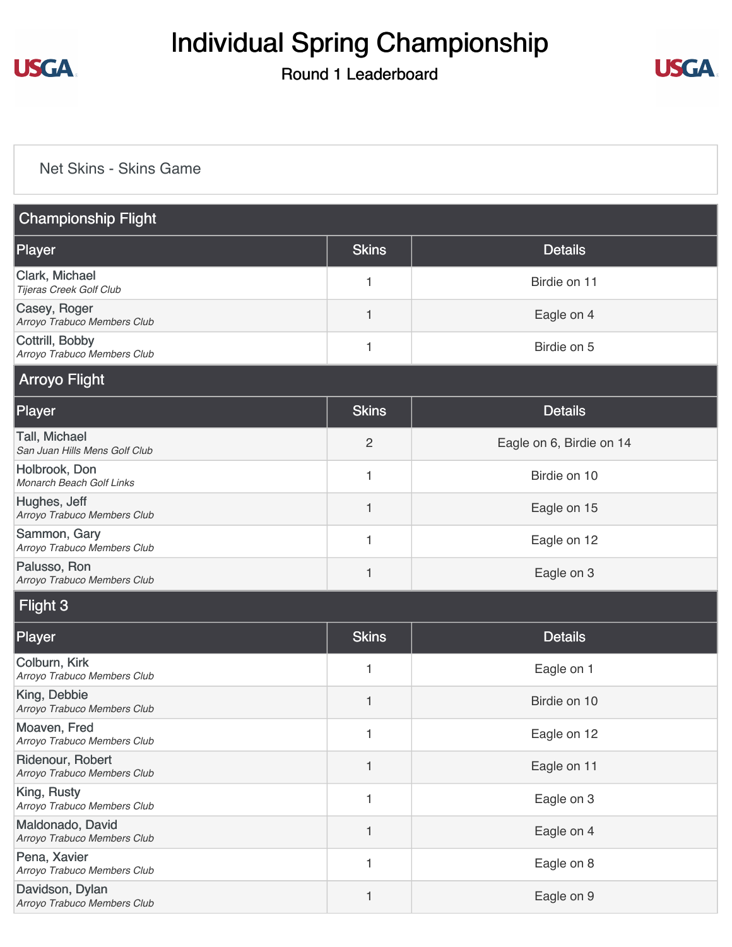

#### Round 1 Leaderboard



#### [Net Skins - Skins Game](https://static.golfgenius.com/v2tournaments/8517730867471212611?called_from=&round_index=1)

| <b>Championship Flight</b>                      |                |                          |  |  |  |
|-------------------------------------------------|----------------|--------------------------|--|--|--|
| Player                                          | <b>Skins</b>   | <b>Details</b>           |  |  |  |
| Clark, Michael<br>Tijeras Creek Golf Club       | 1              | Birdie on 11             |  |  |  |
| Casey, Roger<br>Arroyo Trabuco Members Club     | 1              | Eagle on 4               |  |  |  |
| Cottrill, Bobby<br>Arroyo Trabuco Members Club  | 1              | Birdie on 5              |  |  |  |
| <b>Arroyo Flight</b>                            |                |                          |  |  |  |
| Player                                          | <b>Skins</b>   | <b>Details</b>           |  |  |  |
| Tall, Michael<br>San Juan Hills Mens Golf Club  | $\overline{c}$ | Eagle on 6, Birdie on 14 |  |  |  |
| Holbrook, Don<br>Monarch Beach Golf Links       | 1              | Birdie on 10             |  |  |  |
| Hughes, Jeff<br>Arroyo Trabuco Members Club     | 1              | Eagle on 15              |  |  |  |
| Sammon, Gary<br>Arroyo Trabuco Members Club     | 1              | Eagle on 12              |  |  |  |
| Palusso, Ron<br>Arroyo Trabuco Members Club     | 1              | Eagle on 3               |  |  |  |
| Flight 3                                        |                |                          |  |  |  |
| Player                                          | <b>Skins</b>   | <b>Details</b>           |  |  |  |
| Colburn, Kirk<br>Arroyo Trabuco Members Club    | 1              | Eagle on 1               |  |  |  |
| King, Debbie<br>Arroyo Trabuco Members Club     | 1              | Birdie on 10             |  |  |  |
| Moaven, Fred<br>Arroyo Trabuco Members Club     | 1              | Eagle on 12              |  |  |  |
| Ridenour, Robert<br>Arroyo Trabuco Members Club | 1              | Eagle on 11              |  |  |  |
| King, Rusty<br>Arroyo Trabuco Members Club      | 1              | Eagle on 3               |  |  |  |
| Maldonado, David<br>Arroyo Trabuco Members Club | 1              | Eagle on 4               |  |  |  |
| Pena, Xavier<br>Arroyo Trabuco Members Club     | 1              | Eagle on 8               |  |  |  |
| Davidson, Dylan<br>Arroyo Trabuco Members Club  | 1              | Eagle on 9               |  |  |  |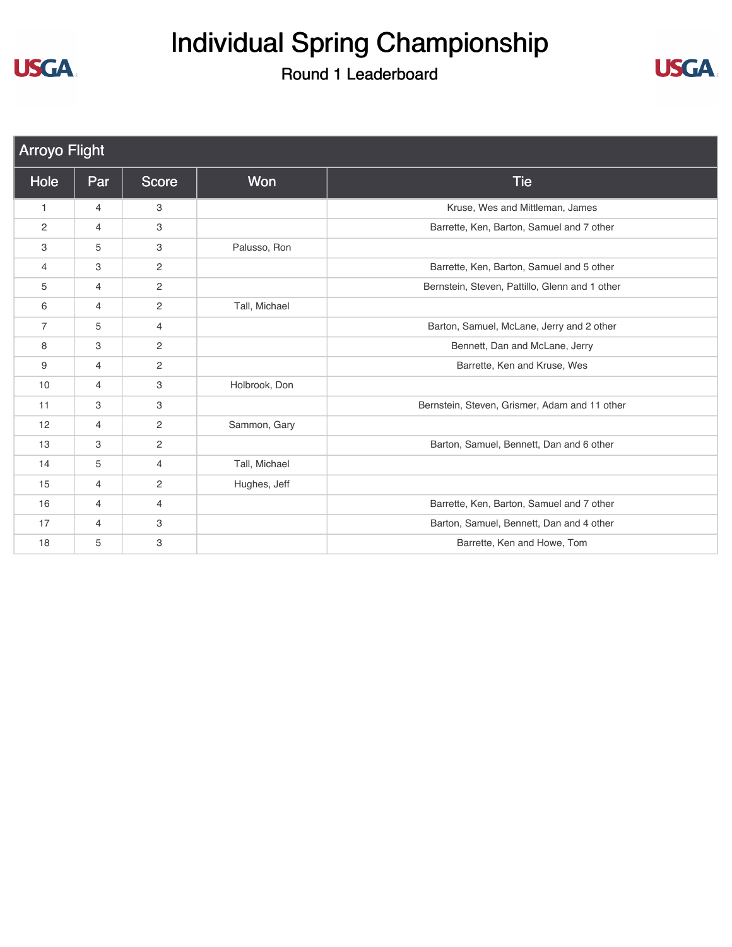# Individual Spring Championship



| <b>Arroyo Flight</b> |                |                |               |                                                |  |
|----------------------|----------------|----------------|---------------|------------------------------------------------|--|
| Hole                 | Par            | Score          | <b>Won</b>    | <b>Tie</b>                                     |  |
| $\mathbf{1}$         | $\overline{4}$ | 3              |               | Kruse, Wes and Mittleman, James                |  |
| 2                    | $\overline{4}$ | 3              |               | Barrette, Ken, Barton, Samuel and 7 other      |  |
| 3                    | 5              | 3              | Palusso, Ron  |                                                |  |
| $\overline{4}$       | 3              | 2              |               | Barrette, Ken, Barton, Samuel and 5 other      |  |
| 5                    | 4              | $\mathbf{2}$   |               | Bernstein, Steven, Pattillo, Glenn and 1 other |  |
| 6                    | 4              | 2              | Tall, Michael |                                                |  |
| $\overline{7}$       | 5              | $\overline{4}$ |               | Barton, Samuel, McLane, Jerry and 2 other      |  |
| 8                    | 3              | 2              |               | Bennett, Dan and McLane, Jerry                 |  |
| 9                    | $\overline{4}$ | $\overline{c}$ |               | Barrette, Ken and Kruse, Wes                   |  |
| 10                   | $\overline{4}$ | 3              | Holbrook, Don |                                                |  |
| 11                   | 3              | 3              |               | Bernstein, Steven, Grismer, Adam and 11 other  |  |
| 12                   | $\overline{4}$ | $\mathbf{2}$   | Sammon, Gary  |                                                |  |
| 13                   | 3              | 2              |               | Barton, Samuel, Bennett, Dan and 6 other       |  |
| 14                   | 5              | $\overline{4}$ | Tall, Michael |                                                |  |
| 15                   | $\overline{4}$ | 2              | Hughes, Jeff  |                                                |  |
| 16                   | 4              | 4              |               | Barrette, Ken, Barton, Samuel and 7 other      |  |
| 17                   | 4              | 3              |               | Barton, Samuel, Bennett, Dan and 4 other       |  |
| 18                   | 5              | 3              |               | Barrette, Ken and Howe, Tom                    |  |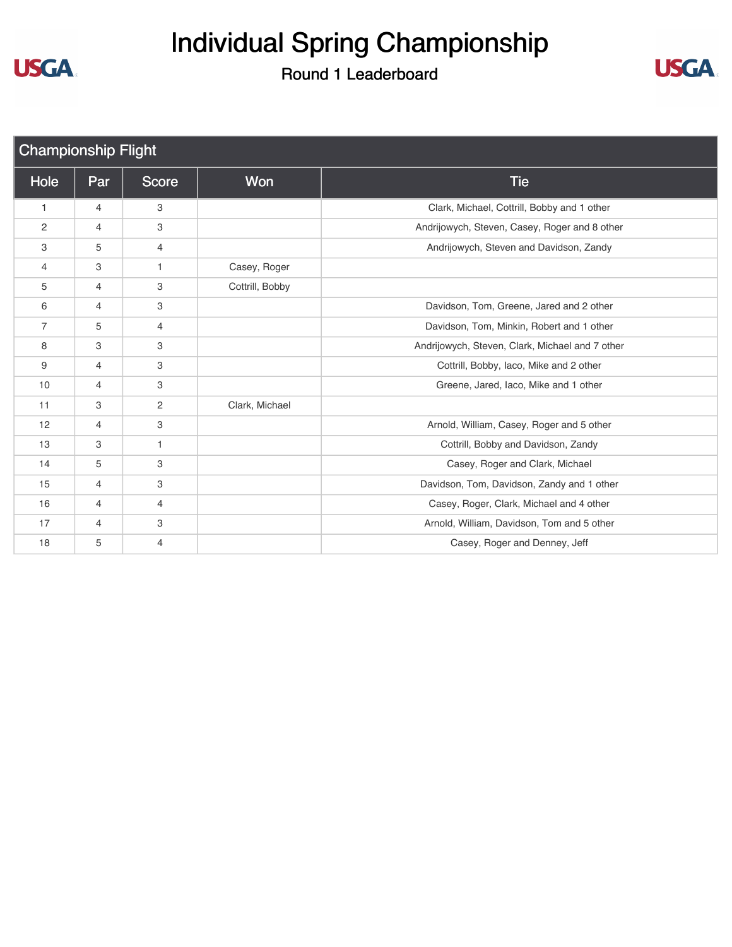



| <b>Championship Flight</b> |                |                |                 |                                                 |
|----------------------------|----------------|----------------|-----------------|-------------------------------------------------|
| Hole                       | Par            | Score          | Won             | <b>Tie</b>                                      |
| $\mathbf{1}$               | $\overline{4}$ | 3              |                 | Clark, Michael, Cottrill, Bobby and 1 other     |
| $\overline{c}$             | $\overline{4}$ | 3              |                 | Andrijowych, Steven, Casey, Roger and 8 other   |
| 3                          | 5              | 4              |                 | Andrijowych, Steven and Davidson, Zandy         |
| 4                          | 3              | $\mathbf{1}$   | Casey, Roger    |                                                 |
| 5                          | 4              | 3              | Cottrill, Bobby |                                                 |
| 6                          | $\overline{4}$ | 3              |                 | Davidson, Tom, Greene, Jared and 2 other        |
| 7                          | 5              | 4              |                 | Davidson, Tom, Minkin, Robert and 1 other       |
| 8                          | 3              | 3              |                 | Andrijowych, Steven, Clark, Michael and 7 other |
| 9                          | $\overline{4}$ | 3              |                 | Cottrill, Bobby, Iaco, Mike and 2 other         |
| 10                         | 4              | 3              |                 | Greene, Jared, Iaco, Mike and 1 other           |
| 11                         | 3              | $\mathbf{2}$   | Clark, Michael  |                                                 |
| 12                         | 4              | 3              |                 | Arnold, William, Casey, Roger and 5 other       |
| 13                         | 3              | $\mathbf{1}$   |                 | Cottrill, Bobby and Davidson, Zandy             |
| 14                         | 5              | 3              |                 | Casey, Roger and Clark, Michael                 |
| 15                         | 4              | 3              |                 | Davidson, Tom, Davidson, Zandy and 1 other      |
| 16                         | $\overline{4}$ | $\overline{4}$ |                 | Casey, Roger, Clark, Michael and 4 other        |
| 17                         | 4              | 3              |                 | Arnold, William, Davidson, Tom and 5 other      |
| 18                         | 5              | 4              |                 | Casey, Roger and Denney, Jeff                   |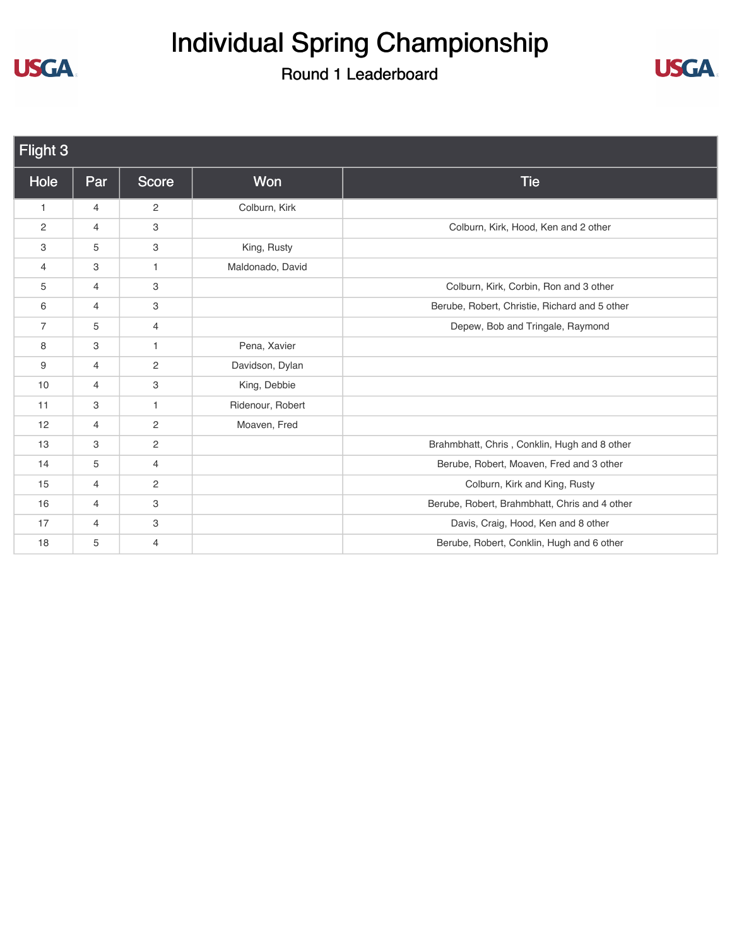### Individual Spring Championship



| Flight 3       |                |                |                  |                                               |  |
|----------------|----------------|----------------|------------------|-----------------------------------------------|--|
| Hole           | Par            | Score          | Won              | <b>Tie</b>                                    |  |
| $\mathbf{1}$   | $\overline{4}$ | $\overline{2}$ | Colburn, Kirk    |                                               |  |
| 2              | $\overline{4}$ | 3              |                  | Colburn, Kirk, Hood, Ken and 2 other          |  |
| 3              | 5              | 3              | King, Rusty      |                                               |  |
| 4              | 3              | $\mathbf{1}$   | Maldonado, David |                                               |  |
| 5              | $\overline{4}$ | 3              |                  | Colburn, Kirk, Corbin, Ron and 3 other        |  |
| 6              | $\overline{4}$ | 3              |                  | Berube, Robert, Christie, Richard and 5 other |  |
| $\overline{7}$ | 5              | $\overline{4}$ |                  | Depew, Bob and Tringale, Raymond              |  |
| 8              | 3              | $\mathbf{1}$   | Pena, Xavier     |                                               |  |
| 9              | $\overline{4}$ | $\overline{2}$ | Davidson, Dylan  |                                               |  |
| 10             | 4              | 3              | King, Debbie     |                                               |  |
| 11             | 3              | 1              | Ridenour, Robert |                                               |  |
| 12             | $\overline{4}$ | $\mathbf{2}$   | Moaven, Fred     |                                               |  |
| 13             | 3              | $\overline{c}$ |                  | Brahmbhatt, Chris, Conklin, Hugh and 8 other  |  |
| 14             | 5              | 4              |                  | Berube, Robert, Moaven, Fred and 3 other      |  |
| 15             | $\overline{4}$ | $\overline{2}$ |                  | Colburn, Kirk and King, Rusty                 |  |
| 16             | $\overline{4}$ | 3              |                  | Berube, Robert, Brahmbhatt, Chris and 4 other |  |
| 17             | $\overline{4}$ | 3              |                  | Davis, Craig, Hood, Ken and 8 other           |  |
| 18             | 5              | $\overline{4}$ |                  | Berube, Robert, Conklin, Hugh and 6 other     |  |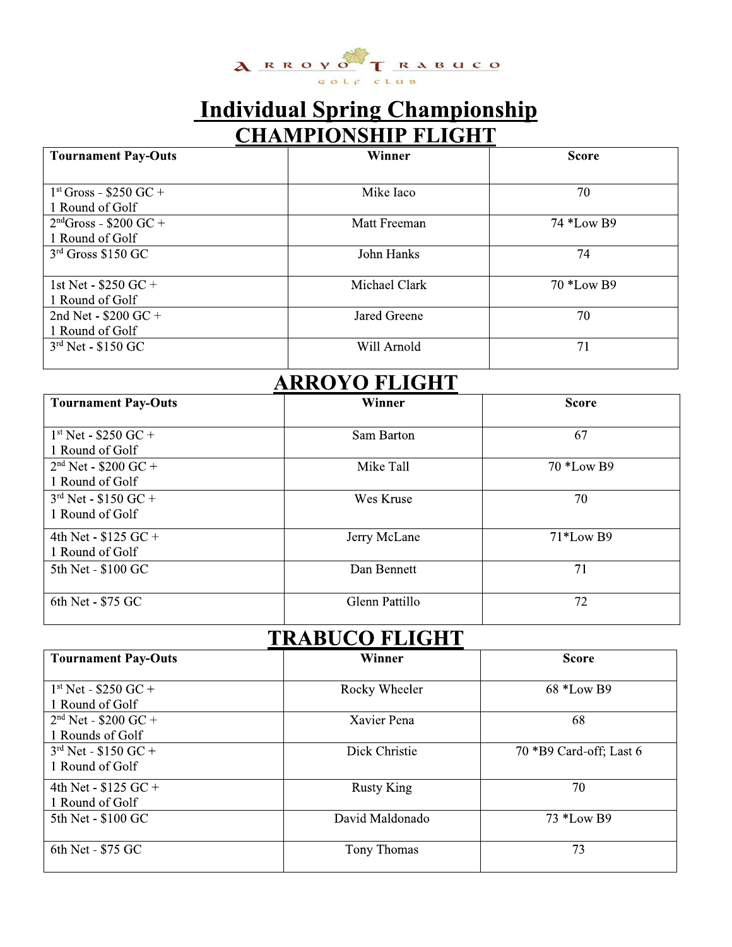

### Individual Spring Championship **CHAMPIONSHIP FLIGHT**

|                                              | ARRUYU   RABULU<br>GOLF CLUB          |              |
|----------------------------------------------|---------------------------------------|--------------|
|                                              | <b>Individual Spring Championship</b> |              |
| <b>Tournament Pay-Outs</b>                   | <b>CHAMPIONSHIP FLIGHT</b><br>Winner  | <b>Score</b> |
| $1st Gross - $250 GC +$<br>1 Round of Golf   | Mike Iaco                             | 70           |
| $2ndGross - $200 GC +$<br>1 Round of Golf    | Matt Freeman                          | 74 *Low B9   |
| 3rd Gross \$150 GC                           | John Hanks                            | 74           |
| 1st Net - $$250$ GC +<br>1 Round of Golf     | Michael Clark                         | 70 *Low B9   |
| 2nd Net - $$200$ GC +<br>1 Round of Golf     | Jared Greene                          | 70           |
| $3rd$ Net - \$150 GC                         | Will Arnold                           | 71           |
|                                              | <b>ARROYO FLIGHT</b>                  |              |
| <b>Tournament Pay-Outs</b>                   | Winner                                | <b>Score</b> |
| $1^{st}$ Net - \$250 GC +<br>1 Round of Golf | Sam Barton                            | 67           |
| $2nd$ Net - \$200 GC +<br>1 Round of Golf    | Mike Tall                             | 70 *Low B9   |

| 2nd Net - $$200$ GC +                     | Jared Greene          | 70           |
|-------------------------------------------|-----------------------|--------------|
| 1 Round of Golf<br>$3rd$ Net - \$150 GC   | Will Arnold           | 71           |
|                                           | <b>ARROYO FLIGHT</b>  |              |
| <b>Tournament Pay-Outs</b>                | Winner                | <b>Score</b> |
| $1st$ Net - \$250 GC +<br>1 Round of Golf | Sam Barton            | 67           |
| $2nd$ Net - \$200 GC +<br>1 Round of Golf | Mike Tall             | 70 *Low B9   |
| $3rd$ Net - \$150 GC +<br>1 Round of Golf | Wes Kruse             | 70           |
| 4th Net - $$125$ GC +<br>1 Round of Golf  | Jerry McLane          | 71*Low B9    |
| 5th Net - \$100 GC                        | Dan Bennett           | 71           |
| 6th Net - \$75 GC                         | <b>Glenn Pattillo</b> | 72           |
|                                           | <b>TRABUCO FLIGHT</b> |              |
| <b>Tournament Pay-Outs</b>                | Winner                | <b>Score</b> |

### TRABUCO FLIGHT

| 5th Net - \$100 GC                           | Dan Bennett           | 71                      |
|----------------------------------------------|-----------------------|-------------------------|
| 6th Net - \$75 GC                            | Glenn Pattillo        | 72                      |
|                                              | <b>TRABUCO FLIGHT</b> |                         |
| <b>Tournament Pay-Outs</b>                   | Winner                | <b>Score</b>            |
| $1st$ Net - \$250 GC +<br>1 Round of Golf    | Rocky Wheeler         | 68 *Low B9              |
| $2nd$ Net - \$200 GC +<br>1 Rounds of Golf   | Xavier Pena           | 68                      |
| $3^{rd}$ Net - \$150 GC +<br>1 Round of Golf | Dick Christie         | 70 *B9 Card-off; Last 6 |
| 4th Net - $$125$ GC +<br>1 Round of Golf     | <b>Rusty King</b>     | 70                      |
| 5th Net - \$100 GC                           | David Maldonado       | 73 *Low B9              |
| 6th Net - \$75 GC                            | Tony Thomas           | 73                      |